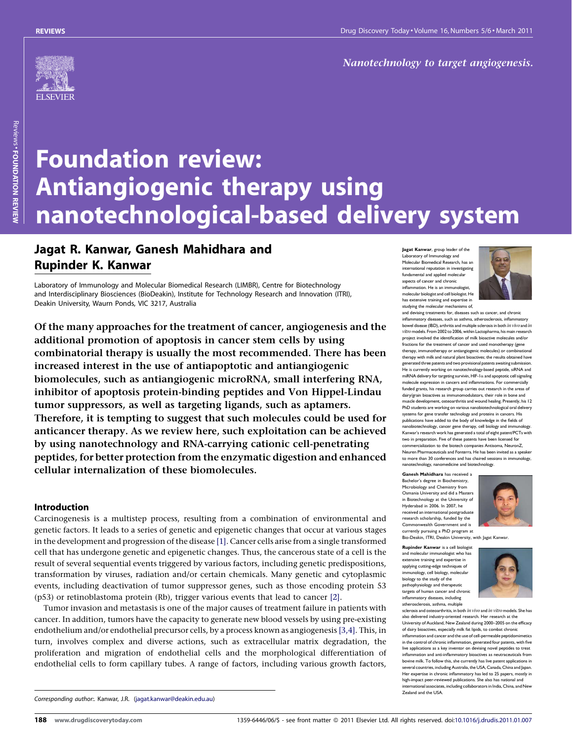# Nanotechnology to target angiogenesis.



# Foundation review: Antiangiogenic therapy using nanotechnological-based delivery system

# Jagat R. Kanwar, Ganesh Mahidhara and Rupinder K. Kanwar

Laboratory of Immunology and Molecular Biomedical Research (LIMBR), Centre for Biotechnology and Interdisciplinary Biosciences (BioDeakin), Institute for Technology Research and Innovation (ITRI), Deakin University, Waurn Ponds, VIC 3217, Australia

Of the many approaches for the treatment of cancer, angiogenesis and the additional promotion of apoptosis in cancer stem cells by using combinatorial therapy is usually the most recommended. There has been increased interest in the use of antiapoptotic and antiangiogenic biomolecules, such as antiangiogenic microRNA, small interfering RNA, inhibitor of apoptosis protein-binding peptides and Von Hippel-Lindau tumor suppressors, as well as targeting ligands, such as aptamers. Therefore, it is tempting to suggest that such molecules could be used for anticancer therapy. As we review here, such exploitation can be achieved by using nanotechnology and RNA-carrying cationic cell-penetrating peptides, for better protection from the enzymatic digestion and enhanced cellular internalization of these biomolecules.

#### Introduction

Carcinogenesis is a multistep process, resulting from a combination of environmental and genetic factors. It leads to a series of genetic and epigenetic changes that occur at various stages in the development and progression of the disease [\[1\]](#page-12-0). Cancer cells arise from a single transformed cell that has undergone genetic and epigenetic changes. Thus, the cancerous state of a cell is the result of several sequential events triggered by various factors, including genetic predispositions, transformation by viruses, radiation and/or certain chemicals. Many genetic and cytoplasmic events, including deactivation of tumor suppressor genes, such as those encoding protein 53 (p53) or retinoblastoma protein (Rb), trigger various events that lead to cancer [\[2\]](#page-12-0).

Tumor invasion and metastasis is one of the major causes of treatment failure in patients with cancer. In addition, tumors have the capacity to generate new blood vessels by using pre-existing endothelium and/or endothelial precursor cells, by a process known as angiogenesis [\[3,4\].](#page-12-0) This, in turn, involves complex and diverse actions, such as extracellular matrix degradation, the proliferation and migration of endothelial cells and the morphological differentiation of endothelial cells to form capillary tubes. A range of factors, including various growth factors,

Jagat Kanwar, group lea Laboratory of Immunology and Molecular Biomedical Research, has an international reputation in investigation fundamental and applied molecular aspects of cancer and chronic inflammation. He is an immunologist, molecular biologist and cell biologist. He has extensive training and expertise in studying the molecular mechanisms of,



and devising treatments for, diseases such as cancer, and chronic inflammatory diseases, such as asthma, atherosclerosis, inflammatory bowel disease (IBD), arthritis and multiple sclerosis in both in vivo and in vitro models. From 2002 to 2006, within Lactopharma, his main research project involved the identification of milk bioactive molecules and/ fractions for the treatment of cancer and used monotherapy (gene therapy, immunotherapy or antiangiogenic molecules) or combi therapy with milk and natural plant bioactives; the results obtained have generated three patents and two provisional patents awaiting submiss He is currently working on nanotechnology-based peptide, siRNA and miRNA delivery for targeting survivin,  $HIF-I\alpha$  and apoptotic cell signaling molecule expression in cancers and inflammations. For comm funded grants, his research group carries out research in the areas of dairy/grain bioactives as immunomodulators, their role in bone and muscle development, osteoarthritis and wound healing. Presently, his 12 PhD students are working on various nanobiotechnological oral delivery systems for gene transfer technology and proteins in cancers. His publications have added to the body of knowledge in the fields of .<br>nanobiotechnology, cancer gene therapy, cell biology and imm Kanwar's research work has generated a total of eight patent/PCTs with two in preparation. Five of these patents have been licensed for commercialization to the biotech companies Antisoma, NeuronZ, Neuren Pharmaceuticals and Fonterra. He has been invited as a speaker to more than 30 conferences and has chaired sessions in immunology, nanotechnology, nanomedicine and biotechnology.

Ganesh Mahidhara has received a Bachelor's degree in Biochemistry, Microbiology and Chemistry from Osmania University and did a Masters in Biotechnology at the University of Hyderabad in 2006. In 2007, he received an international postgraduate research scholarship, funded by the Commonwealth Government and is currently pursuing a PhD program at



Bio-Deakin, ITRI, Deakin University, with Jagat Kan

Rupinder Kanwar is a cell biologist and molecular immunologist who has extensive training and expertise in applying cutting-edge techniques of mmunology, cell biology, molecula biology to the study of the pathophysiology and therape targets of human cancer and chronic inflammatory diseases, including atherosclerosis, asthma, multi



sclerosis and osteoarthritis, in both in vivo and in vitro models. She has also delivered industry-oriented research. Her research at the University of Auckland, New Zealand during 2000–2005 on the efficacy of dairy bioactives, especially milk fat lipids, to combat chronic inflammation and cancer and the use of cell-permeable peptidomimetics in the control of chronic inflammation, generated four patents, with five live applications as a key inventor on devising novel peptides to treat inflammation and anti-inflammatory bioactives as neutraceuticals from bovine milk. To follow this, she currently has live patent applications in several countries, including Australia, the USA, Canada, China and Japan. Her expertise in chronic inflammatory has led to 25 papers, most high-impact peer-reviewed publications. She also has national and onal associates, including collaborators in India, China, and New Zealand and the USA.

Corresponding author:. Kanwar, J.R. [\(jagat.kanwar@deakin.edu.au](mailto:jagat.kanwar@deakin.edu.au))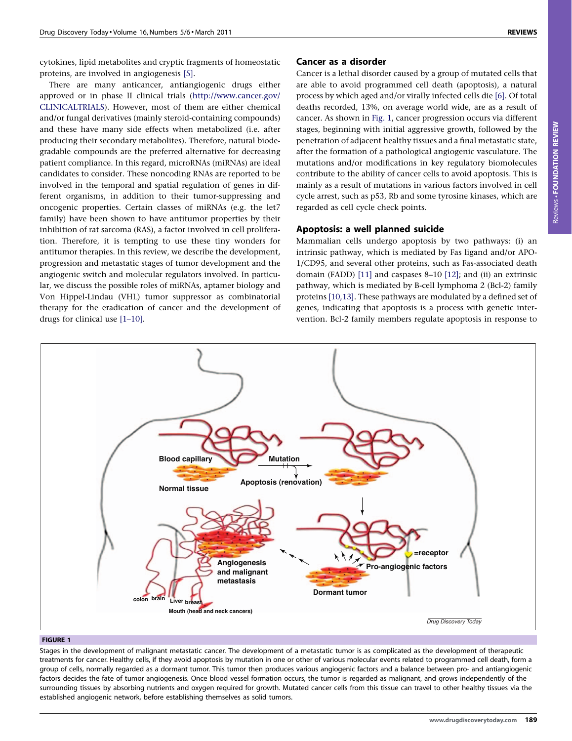cytokines, lipid metabolites and cryptic fragments of homeostatic proteins, are involved in angiogenesis [\[5\].](#page-12-0)

There are many anticancer, antiangiogenic drugs either approved or in phase II clinical trials [\(http://www.cancer.gov/](http://www.cancer.gov/CLINICALTRIALS) [CLINICALTRIALS\)](http://www.cancer.gov/CLINICALTRIALS). However, most of them are either chemical and/or fungal derivatives (mainly steroid-containing compounds) and these have many side effects when metabolized (i.e. after producing their secondary metabolites). Therefore, natural biodegradable compounds are the preferred alternative for decreasing patient compliance. In this regard, microRNAs (miRNAs) are ideal candidates to consider. These noncoding RNAs are reported to be involved in the temporal and spatial regulation of genes in different organisms, in addition to their tumor-suppressing and oncogenic properties. Certain classes of miRNAs (e.g. the let7 family) have been shown to have antitumor properties by their inhibition of rat sarcoma (RAS), a factor involved in cell proliferation. Therefore, it is tempting to use these tiny wonders for antitumor therapies. In this review, we describe the development, progression and metastatic stages of tumor development and the angiogenic switch and molecular regulators involved. In particular, we discuss the possible roles of miRNAs, aptamer biology and Von Hippel-Lindau (VHL) tumor suppressor as combinatorial therapy for the eradication of cancer and the development of drugs for clinical use [\[1–10\].](#page-12-0)

#### Cancer as a disorder

Cancer is a lethal disorder caused by a group of mutated cells that are able to avoid programmed cell death (apoptosis), a natural process by which aged and/or virally infected cells die [\[6\].](#page-12-0) Of total deaths recorded, 13%, on average world wide, are as a result of cancer. As shown in Fig. 1, cancer progression occurs via different stages, beginning with initial aggressive growth, followed by the penetration of adjacent healthy tissues and a final metastatic state, after the formation of a pathological angiogenic vasculature. The mutations and/or modifications in key regulatory biomolecules contribute to the ability of cancer cells to avoid apoptosis. This is mainly as a result of mutations in various factors involved in cell cycle arrest, such as p53, Rb and some tyrosine kinases, which are regarded as cell cycle check points.

#### Apoptosis: a well planned suicide

Mammalian cells undergo apoptosis by two pathways: (i) an intrinsic pathway, which is mediated by Fas ligand and/or APO-1/CD95, and several other proteins, such as Fas-associated death domain (FADD) [\[11\]](#page-12-0) and caspases 8–10 [\[12\];](#page-12-0) and (ii) an extrinsic pathway, which is mediated by B-cell lymphoma 2 (Bcl-2) family proteins [\[10,13\]](#page-12-0). These pathways are modulated by a defined set of genes, indicating that apoptosis is a process with genetic intervention. Bcl-2 family members regulate apoptosis in response to



#### FIGURE 1

Stages in the development of malignant metastatic cancer. The development of a metastatic tumor is as complicated as the development of therapeutic treatments for cancer. Healthy cells, if they avoid apoptosis by mutation in one or other of various molecular events related to programmed cell death, form a group of cells, normally regarded as a dormant tumor. This tumor then produces various angiogenic factors and a balance between pro- and antiangiogenic factors decides the fate of tumor angiogenesis. Once blood vessel formation occurs, the tumor is regarded as malignant, and grows independently of the surrounding tissues by absorbing nutrients and oxygen required for growth. Mutated cancer cells from this tissue can travel to other healthy tissues via the established angiogenic network, before establishing themselves as solid tumors.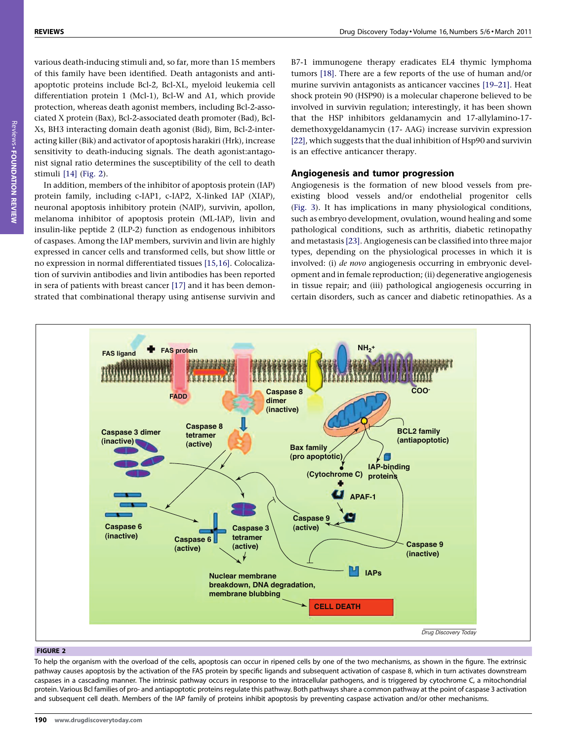various death-inducing stimuli and, so far, more than 15 members of this family have been identified. Death antagonists and antiapoptotic proteins include Bcl-2, Bcl-XL, myeloid leukemia cell differentiation protein 1 (Mcl-1), Bcl-W and A1, which provide protection, whereas death agonist members, including Bcl-2-associated X protein (Bax), Bcl-2-associated death promoter (Bad), Bcl-Xs, BH3 interacting domain death agonist (Bid), Bim, Bcl-2-interacting killer (Bik) and activator of apoptosis harakiri (Hrk), increase sensitivity to death-inducing signals. The death agonist:antagonist signal ratio determines the susceptibility of the cell to death stimuli [\[14\]](#page-12-0) (Fig. 2).

In addition, members of the inhibitor of apoptosis protein (IAP) protein family, including c-IAP1, c-IAP2, X-linked IAP (XIAP), neuronal apoptosis inhibitory protein (NAIP), survivin, apollon, melanoma inhibitor of apoptosis protein (ML-IAP), livin and insulin-like peptide 2 (ILP-2) function as endogenous inhibitors of caspases. Among the IAP members, survivin and livin are highly expressed in cancer cells and transformed cells, but show little or no expression in normal differentiated tissues [\[15,16\]](#page-12-0). Colocalization of survivin antibodies and livin antibodies has been reported in sera of patients with breast cancer [\[17\]](#page-12-0) and it has been demonstrated that combinational therapy using antisense survivin and

B7-1 immunogene therapy eradicates EL4 thymic lymphoma tumors [\[18\]](#page-12-0). There are a few reports of the use of human and/or murine survivin antagonists as anticancer vaccines [\[19–21\]](#page-12-0). Heat shock protein 90 (HSP90) is a molecular chaperone believed to be involved in survivin regulation; interestingly, it has been shown that the HSP inhibitors geldanamycin and 17-allylamino-17 demethoxygeldanamycin (17- AAG) increase survivin expression [\[22\]](#page-12-0), which suggests that the dual inhibition of Hsp90 and survivin is an effective anticancer therapy.

## Angiogenesis and tumor progression

Angiogenesis is the formation of new blood vessels from preexisting blood vessels and/or endothelial progenitor cells ([Fig. 3\)](#page-3-0). It has implications in many physiological conditions, such as embryo development, ovulation, wound healing and some pathological conditions, such as arthritis, diabetic retinopathy and metastasis [\[23\].](#page-12-0) Angiogenesis can be classified into three major types, depending on the physiological processes in which it is involved: (i) de novo angiogenesis occurring in embryonic development and in female reproduction; (ii) degenerative angiogenesis in tissue repair; and (iii) pathological angiogenesis occurring in certain disorders, such as cancer and diabetic retinopathies. As a



#### FIGURE 2

To help the organism with the overload of the cells, apoptosis can occur in ripened cells by one of the two mechanisms, as shown in the figure. The extrinsic pathway causes apoptosis by the activation of the FAS protein by specific ligands and subsequent activation of caspase 8, which in turn activates downstream caspases in a cascading manner. The intrinsic pathway occurs in response to the intracellular pathogens, and is triggered by cytochrome C, a mitochondrial protein. Various Bcl families of pro- and antiapoptotic proteins regulate this pathway. Both pathways share a common pathway at the point of caspase 3 activation and subsequent cell death. Members of the IAP family of proteins inhibit apoptosis by preventing caspase activation and/or other mechanisms.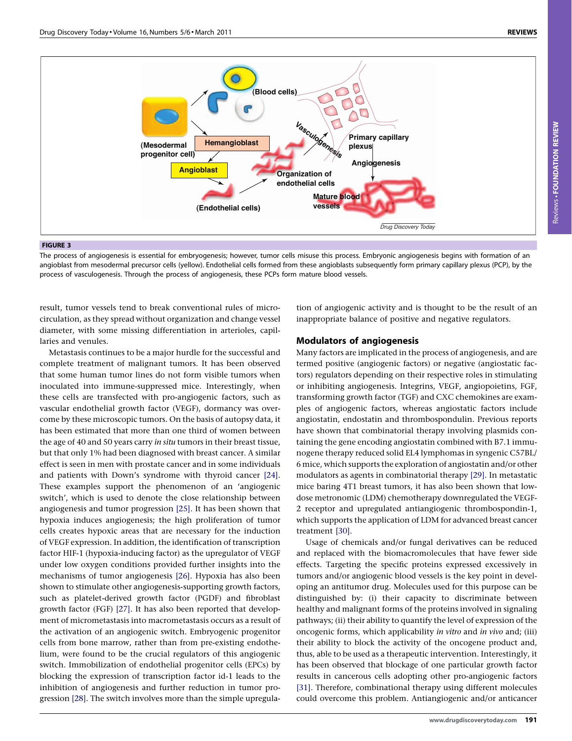Reviews -

 FOUNDATION REVIEWReviews - FOUNDATION REVIEW

<span id="page-3-0"></span>

#### FIGURE 3

The process of angiogenesis is essential for embryogenesis; however, tumor cells misuse this process. Embryonic angiogenesis begins with formation of an angioblast from mesodermal precursor cells (yellow). Endothelial cells formed from these angioblasts subsequently form primary capillary plexus (PCP), by the process of vasculogenesis. Through the process of angiogenesis, these PCPs form mature blood vessels.

result, tumor vessels tend to break conventional rules of microcirculation, as they spread without organization and change vessel diameter, with some missing differentiation in arterioles, capillaries and venules.

Metastasis continues to be a major hurdle for the successful and complete treatment of malignant tumors. It has been observed that some human tumor lines do not form visible tumors when inoculated into immune-suppressed mice. Interestingly, when these cells are transfected with pro-angiogenic factors, such as vascular endothelial growth factor (VEGF), dormancy was overcome by these microscopic tumors. On the basis of autopsy data, it has been estimated that more than one third of women between the age of 40 and 50 years carry in situ tumors in their breast tissue, but that only 1% had been diagnosed with breast cancer. A similar effect is seen in men with prostate cancer and in some individuals and patients with Down's syndrome with thyroid cancer [\[24\].](#page-12-0) These examples support the phenomenon of an 'angiogenic switch', which is used to denote the close relationship between angiogenesis and tumor progression [\[25\].](#page-12-0) It has been shown that hypoxia induces angiogenesis; the high proliferation of tumor cells creates hypoxic areas that are necessary for the induction of VEGF expression. In addition, the identification of transcription factor HIF-1 (hypoxia-inducing factor) as the upregulator of VEGF under low oxygen conditions provided further insights into the mechanisms of tumor angiogenesis [\[26\].](#page-12-0) Hypoxia has also been shown to stimulate other angiogenesis-supporting growth factors, such as platelet-derived growth factor (PGDF) and fibroblast growth factor (FGF) [\[27\].](#page-12-0) It has also been reported that development of micrometastasis into macrometastasis occurs as a result of the activation of an angiogenic switch. Embryogenic progenitor cells from bone marrow, rather than from pre-existing endothelium, were found to be the crucial regulators of this angiogenic switch. Immobilization of endothelial progenitor cells (EPCs) by blocking the expression of transcription factor id-1 leads to the inhibition of angiogenesis and further reduction in tumor progression [\[28\]](#page-12-0). The switch involves more than the simple upregula-

tion of angiogenic activity and is thought to be the result of an inappropriate balance of positive and negative regulators.

#### Modulators of angiogenesis

Many factors are implicated in the process of angiogenesis, and are termed positive (angiogenic factors) or negative (angiostatic factors) regulators depending on their respective roles in stimulating or inhibiting angiogenesis. Integrins, VEGF, angiopoietins, FGF, transforming growth factor (TGF) and CXC chemokines are examples of angiogenic factors, whereas angiostatic factors include angiostatin, endostatin and thrombospondulin. Previous reports have shown that combinatorial therapy involving plasmids containing the gene encoding angiostatin combined with B7.1 immunogene therapy reduced solid EL4 lymphomas in syngenic C57BL/ 6 mice, which supports the exploration of angiostatin and/or other modulators as agents in combinatorial therapy [\[29\]](#page-12-0). In metastatic mice baring 4T1 breast tumors, it has also been shown that lowdose metronomic (LDM) chemotherapy downregulated the VEGF-2 receptor and upregulated antiangiogenic thrombospondin-1, which supports the application of LDM for advanced breast cancer treatment [\[30\].](#page-12-0)

Usage of chemicals and/or fungal derivatives can be reduced and replaced with the biomacromolecules that have fewer side effects. Targeting the specific proteins expressed excessively in tumors and/or angiogenic blood vessels is the key point in developing an antitumor drug. Molecules used for this purpose can be distinguished by: (i) their capacity to discriminate between healthy and malignant forms of the proteins involved in signaling pathways; (ii) their ability to quantify the level of expression of the oncogenic forms, which applicability in vitro and in vivo and; (iii) their ability to block the activity of the oncogene product and, thus, able to be used as a therapeutic intervention. Interestingly, it has been observed that blockage of one particular growth factor results in cancerous cells adopting other pro-angiogenic factors [\[31\].](#page-12-0) Therefore, combinational therapy using different molecules could overcome this problem. Antiangiogenic and/or anticancer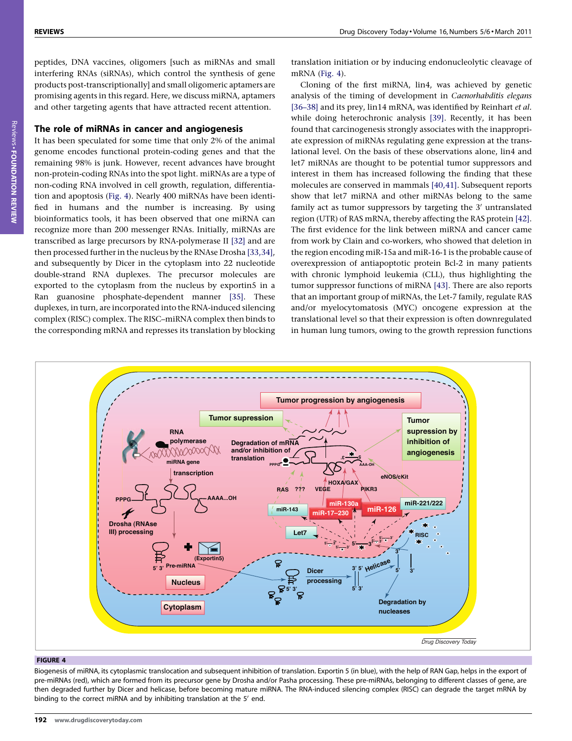peptides, DNA vaccines, oligomers [such as miRNAs and small interfering RNAs (siRNAs), which control the synthesis of gene products post-transcriptionally] and small oligomeric aptamers are promising agents in this regard. Here, we discuss miRNA, aptamers and other targeting agents that have attracted recent attention.

#### The role of miRNAs in cancer and angiogenesis

It has been speculated for some time that only 2% of the animal genome encodes functional protein-coding genes and that the remaining 98% is junk. However, recent advances have brought non-protein-coding RNAs into the spot light. miRNAs are a type of non-coding RNA involved in cell growth, regulation, differentiation and apoptosis (Fig. 4). Nearly 400 miRNAs have been identified in humans and the number is increasing. By using bioinformatics tools, it has been observed that one miRNA can recognize more than 200 messenger RNAs. Initially, miRNAs are transcribed as large precursors by RNA-polymerase II [\[32\]](#page-12-0) and are then processed further in the nucleus by the RNAse Drosha [\[33,34\]](#page-12-0), and subsequently by Dicer in the cytoplasm into 22 nucleotide double-strand RNA duplexes. The precursor molecules are exported to the cytoplasm from the nucleus by exportin5 in a Ran guanosine phosphate-dependent manner [\[35\].](#page-12-0) These duplexes, in turn, are incorporated into the RNA-induced silencing complex (RISC) complex. The RISC–miRNA complex then binds to the corresponding mRNA and represses its translation by blocking translation initiation or by inducing endonucleolytic cleavage of mRNA (Fig. 4).

Cloning of the first miRNA, lin4, was achieved by genetic analysis of the timing of development in Caenorhabditis elegans [36-38] and its prey, lin14 mRNA, was identified by Reinhart et al. while doing heterochronic analysis [\[39\].](#page-12-0) Recently, it has been found that carcinogenesis strongly associates with the inappropriate expression of miRNAs regulating gene expression at the translational level. On the basis of these observations alone, lin4 and let7 miRNAs are thought to be potential tumor suppressors and interest in them has increased following the finding that these molecules are conserved in mammals [\[40,41\].](#page-12-0) Subsequent reports show that let7 miRNA and other miRNAs belong to the same family act as tumor suppressors by targeting the  $3'$  untranslated region (UTR) of RAS mRNA, thereby affecting the RAS protein [\[42\]](#page-12-0). The first evidence for the link between miRNA and cancer came from work by Clain and co-workers, who showed that deletion in the region encoding miR-15a and miR-16-1 is the probable cause of overexpression of antiapoptotic protein Bcl-2 in many patients with chronic lymphoid leukemia (CLL), thus highlighting the tumor suppressor functions of miRNA [\[43\]](#page-12-0). There are also reports that an important group of miRNAs, the Let-7 family, regulate RAS and/or myelocytomatosis (MYC) oncogene expression at the translational level so that their expression is often downregulated in human lung tumors, owing to the growth repression functions



#### FIGURE 4

Biogenesis of miRNA, its cytoplasmic translocation and subsequent inhibition of translation. Exportin 5 (in blue), with the help of RAN Gap, helps in the export of pre-miRNAs (red), which are formed from its precursor gene by Drosha and/or Pasha processing. These pre-miRNAs, belonging to different classes of gene, are then degraded further by Dicer and helicase, before becoming mature miRNA. The RNA-induced silencing complex (RISC) can degrade the target mRNA by binding to the correct miRNA and by inhibiting translation at the  $5'$  end.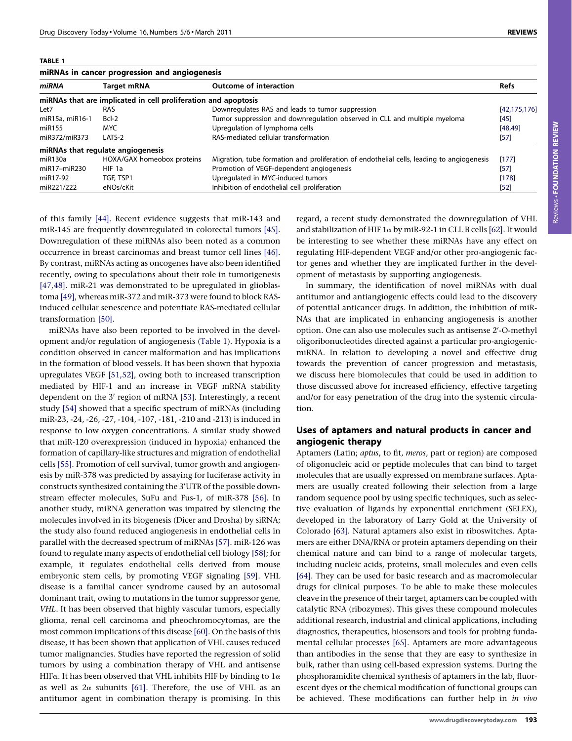TABLE 1

| miRNAs in cancer progression and angiogenesis |                                                                |                                                                                           |                |  |  |
|-----------------------------------------------|----------------------------------------------------------------|-------------------------------------------------------------------------------------------|----------------|--|--|
| miRNA                                         | <b>Target mRNA</b>                                             | <b>Outcome of interaction</b>                                                             | <b>Refs</b>    |  |  |
|                                               | miRNAs that are implicated in cell proliferation and apoptosis |                                                                                           |                |  |  |
| Let7                                          | <b>RAS</b>                                                     | Downregulates RAS and leads to tumor suppression                                          | [42, 175, 176] |  |  |
| miR15a, miR16-1                               | Bcl-2                                                          | Tumor suppression and downregulation observed in CLL and multiple myeloma                 | [45]           |  |  |
| miR155                                        | <b>MYC</b>                                                     | Upregulation of lymphoma cells                                                            | [48, 49]       |  |  |
| miR372/miR373                                 | LATS-2                                                         | RAS-mediated cellular transformation                                                      | $[57]$         |  |  |
|                                               | miRNAs that regulate angiogenesis                              |                                                                                           |                |  |  |
| miR130a                                       | HOXA/GAX homeobox proteins                                     | Migration, tube formation and proliferation of endothelial cells, leading to angiogenesis | [177]          |  |  |
| $miR17 - miR230$                              | HIF 1a                                                         | Promotion of VEGF-dependent angiogenesis                                                  | [57]           |  |  |
| miR17-92                                      | TGF, TSP1                                                      | Upregulated in MYC-induced tumors                                                         | [178]          |  |  |
| miR221/222                                    | eNOs/cKit                                                      | Inhibition of endothelial cell proliferation                                              | $[52]$         |  |  |

of this family [\[44\]](#page-12-0). Recent evidence suggests that miR-143 and miR-145 are frequently downregulated in colorectal tumors [\[45\].](#page-12-0) Downregulation of these miRNAs also been noted as a common occurrence in breast carcinomas and breast tumor cell lines [\[46\].](#page-12-0) By contrast, miRNAs acting as oncogenes have also been identified recently, owing to speculations about their role in tumorigenesis [\[47,48\]](#page-12-0). miR-21 was demonstrated to be upregulated in glioblastoma [\[49\],](#page-12-0) whereas miR-372 and miR-373 were found to block RASinduced cellular senescence and potentiate RAS-mediated cellular transformation [\[50\]](#page-12-0).

miRNAs have also been reported to be involved in the development and/or regulation of angiogenesis (Table 1). Hypoxia is a condition observed in cancer malformation and has implications in the formation of blood vessels. It has been shown that hypoxia upregulates VEGF [\[51,52\]](#page-12-0), owing both to increased transcription mediated by HIF-1 and an increase in VEGF mRNA stability dependent on the  $3'$  region of mRNA [\[53\]](#page-12-0). Interestingly, a recent study [\[54\]](#page-12-0) showed that a specific spectrum of miRNAs (including miR-23, -24, -26, -27, -104, -107, -181, -210 and -213) is induced in response to low oxygen concentrations. A similar study showed that miR-120 overexpression (induced in hypoxia) enhanced the formation of capillary-like structures and migration of endothelial cells [\[55\].](#page-12-0) Promotion of cell survival, tumor growth and angiogenesis by miR-378 was predicted by assaying for luciferase activity in constructs synthesized containing the 3'UTR of the possible downstream effecter molecules, SuFu and Fus-1, of miR-378 [\[56\].](#page-12-0) In another study, miRNA generation was impaired by silencing the molecules involved in its biogenesis (Dicer and Drosha) by siRNA; the study also found reduced angiogenesis in endothelial cells in parallel with the decreased spectrum of miRNAs [\[57\]](#page-12-0). miR-126 was found to regulate many aspects of endothelial cell biology [\[58\];](#page-12-0) for example, it regulates endothelial cells derived from mouse embryonic stem cells, by promoting VEGF signaling [\[59\]](#page-12-0). VHL disease is a familial cancer syndrome caused by an autosomal dominant trait, owing to mutations in the tumor suppressor gene, VHL. It has been observed that highly vascular tumors, especially glioma, renal cell carcinoma and pheochromocytomas, are the most common implications of this disease [\[60\].](#page-12-0) On the basis of this disease, it has been shown that application of VHL causes reduced tumor malignancies. Studies have reported the regression of solid tumors by using a combination therapy of VHL and antisense HIF $\alpha$ . It has been observed that VHL inhibits HIF by binding to  $1\alpha$ as well as  $2\alpha$  subunits [\[61\]](#page-12-0). Therefore, the use of VHL as an antitumor agent in combination therapy is promising. In this

regard, a recent study demonstrated the downregulation of VHL and stabilization of HIF  $1\alpha$  by miR-92-1 in CLL B cells [\[62\].](#page-12-0) It would be interesting to see whether these miRNAs have any effect on regulating HIF-dependent VEGF and/or other pro-angiogenic factor genes and whether they are implicated further in the development of metastasis by supporting angiogenesis.

In summary, the identification of novel miRNAs with dual antitumor and antiangiogenic effects could lead to the discovery of potential anticancer drugs. In addition, the inhibition of miR-NAs that are implicated in enhancing angiogenesis is another option. One can also use molecules such as antisense 2'-O-methyl oligoribonucleotides directed against a particular pro-angiogenicmiRNA. In relation to developing a novel and effective drug towards the prevention of cancer progression and metastasis, we discuss here biomolecules that could be used in addition to those discussed above for increased efficiency, effective targeting and/or for easy penetration of the drug into the systemic circulation.

## Uses of aptamers and natural products in cancer and angiogenic therapy

Aptamers (Latin; *aptus*, to fit, *meros*, part or region) are composed of oligonucleic acid or peptide molecules that can bind to target molecules that are usually expressed on membrane surfaces. Aptamers are usually created following their selection from a large random sequence pool by using specific techniques, such as selective evaluation of ligands by exponential enrichment (SELEX), developed in the laboratory of Larry Gold at the University of Colorado [\[63\]](#page-12-0). Natural aptamers also exist in riboswitches. Aptamers are either DNA/RNA or protein aptamers depending on their chemical nature and can bind to a range of molecular targets, including nucleic acids, proteins, small molecules and even cells [\[64\].](#page-12-0) They can be used for basic research and as macromolecular drugs for clinical purposes. To be able to make these molecules cleave in the presence of their target, aptamers can be coupled with catalytic RNA (ribozymes). This gives these compound molecules additional research, industrial and clinical applications, including diagnostics, therapeutics, biosensors and tools for probing fundamental cellular processes [\[65\]](#page-12-0). Aptamers are more advantageous than antibodies in the sense that they are easy to synthesize in bulk, rather than using cell-based expression systems. During the phosphoramidite chemical synthesis of aptamers in the lab, fluorescent dyes or the chemical modification of functional groups can be achieved. These modifications can further help in in vivo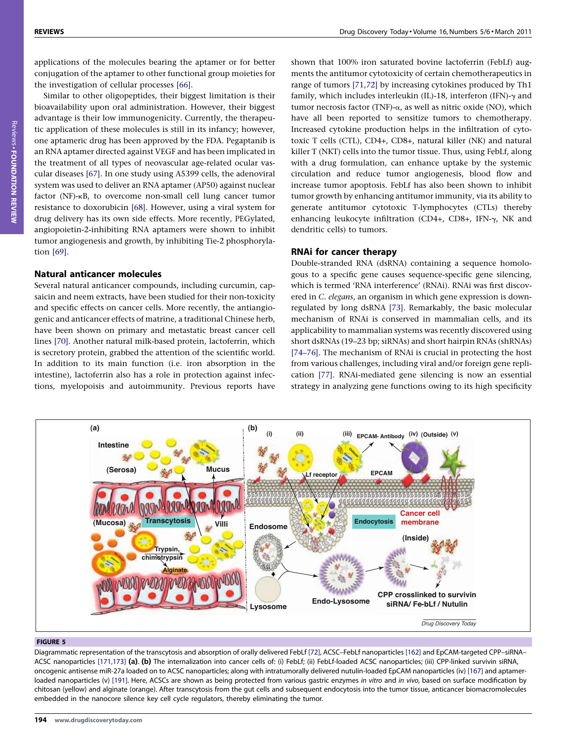<span id="page-6-0"></span>applications of the molecules bearing the aptamer or for better conjugation of the aptamer to other functional group moieties for the investigation of cellular processes [\[66\]](#page-13-0).

Similar to other oligopeptides, their biggest limitation is their bioavailability upon oral administration. However, their biggest advantage is their low immunogenicity. Currently, the therapeutic application of these molecules is still in its infancy; however, one aptameric drug has been approved by the FDA. Pegaptanib is an RNA aptamer directed against VEGF and has been implicated in the treatment of all types of neovascular age-related ocular vascular diseases [\[67\]](#page-13-0). In one study using A5399 cells, the adenoviral system was used to deliver an RNA aptamer (AP50) against nuclear factor (NF)-kB, to overcome non-small cell lung cancer tumor resistance to doxorubicin [\[68\]](#page-13-0). However, using a viral system for drug delivery has its own side effects. More recently, PEGylated, angiopoietin-2-inhibiting RNA aptamers were shown to inhibit tumor angiogenesis and growth, by inhibiting Tie-2 phosphorylation [\[69\]](#page-13-0).

#### Natural anticancer molecules

Several natural anticancer compounds, including curcumin, capsaicin and neem extracts, have been studied for their non-toxicity and specific effects on cancer cells. More recently, the antiangiogenic and anticancer effects of matrine, a traditional Chinese herb, have been shown on primary and metastatic breast cancer cell lines [\[70\]](#page-13-0). Another natural milk-based protein, lactoferrin, which is secretory protein, grabbed the attention of the scientific world. In addition to its main function (i.e. iron absorption in the intestine), lactoferrin also has a role in protection against infections, myelopoisis and autoimmunity. Previous reports have shown that 100% iron saturated bovine lactoferrin (FebLf) augments the antitumor cytotoxicity of certain chemotherapeutics in range of tumors [\[71,72\]](#page-13-0) by increasing cytokines produced by Th1 family, which includes interleukin (IL)-18, interferon (IFN)- $\gamma$  and tumor necrosis factor (TNF)- $\alpha$ , as well as nitric oxide (NO), which have all been reported to sensitize tumors to chemotherapy. Increased cytokine production helps in the infiltration of cytotoxic T cells (CTL), CD4+, CD8+, natural killer (NK) and natural killer T (NKT) cells into the tumor tissue. Thus, using FebLf, along with a drug formulation, can enhance uptake by the systemic circulation and reduce tumor angiogenesis, blood flow and increase tumor apoptosis. FebLf has also been shown to inhibit tumor growth by enhancing antitumor immunity, via its ability to generate antitumor cytotoxic T-lymphocytes (CTLs) thereby enhancing leukocyte infiltration (CD4+, CD8+, IFN-g, NK and dendritic cells) to tumors.

#### RNAi for cancer therapy

Double-stranded RNA (dsRNA) containing a sequence homologous to a specific gene causes sequence-specific gene silencing, which is termed 'RNA interference' (RNAi). RNAi was first discovered in C. elegans, an organism in which gene expression is downregulated by long dsRNA [\[73\]](#page-13-0). Remarkably, the basic molecular mechanism of RNAi is conserved in mammalian cells, and its applicability to mammalian systems was recently discovered using short dsRNAs (19–23 bp; siRNAs) and short hairpin RNAs (shRNAs) [\[74–76\]](#page-13-0). The mechanism of RNAi is crucial in protecting the host from various challenges, including viral and/or foreign gene replication [\[77\]](#page-13-0). RNAi-mediated gene silencing is now an essential strategy in analyzing gene functions owing to its high specificity



#### FIGURE 5

Diagrammatic representation of the transcytosis and absorption of orally delivered FebLf [\[72\],](#page-13-0) ACSC–FebLf nanoparticles [\[162\]](#page-14-0) and EpCAM-targeted CPP–siRNA– ACSC nanoparticles [\[171,173\]](#page-14-0) (a). (b) The internalization into cancer cells of: (i) FebLf; (ii) FebLf-loaded ACSC nanoparticles; (iii) CPP-linked survivin siRNA, oncogenic antisense miR-27a loaded on to ACSC nanoparticles; along with intratumorally delivered nutulin-loaded EpCAM nanoparticles (iv) [\[167\]](#page-14-0) and aptamer-loaded nanoparticles (v) [\[191\].](#page-14-0) Here, ACSCs are shown as being protected from various gastric enzymes in vitro and in vivo, based on surface modification by chitosan (yellow) and alginate (orange). After transcytosis from the gut cells and subsequent endocytosis into the tumor tissue, anticancer biomacromolecules embedded in the nanocore silence key cell cycle regulators, thereby eliminating the tumor.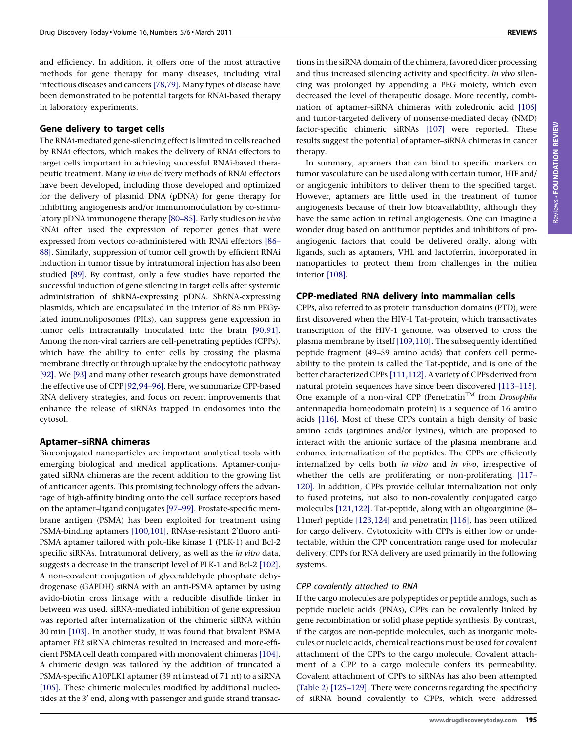and efficiency. In addition, it offers one of the most attractive methods for gene therapy for many diseases, including viral infectious diseases and cancers [\[78,79\]](#page-13-0). Many types of disease have been demonstrated to be potential targets for RNAi-based therapy in laboratory experiments.

#### Gene delivery to target cells

The RNAi-mediated gene-silencing effect is limited in cells reached by RNAi effectors, which makes the delivery of RNAi effectors to target cells important in achieving successful RNAi-based therapeutic treatment. Many in vivo delivery methods of RNAi effectors have been developed, including those developed and optimized for the delivery of plasmid DNA (pDNA) for gene therapy for inhibiting angiogenesis and/or immunomodulation by co-stimulatory pDNA immunogene therapy [\[80–85\].](#page-13-0) Early studies on in vivo RNAi often used the expression of reporter genes that were expressed from vectors co-administered with RNAi effectors [\[86–](#page-13-0) [88\]](#page-13-0). Similarly, suppression of tumor cell growth by efficient RNAi induction in tumor tissue by intratumoral injection has also been studied [\[89\].](#page-13-0) By contrast, only a few studies have reported the successful induction of gene silencing in target cells after systemic administration of shRNA-expressing pDNA. ShRNA-expressing plasmids, which are encapsulated in the interior of 85 nm PEGylated immunoliposomes (PILs), can suppress gene expression in tumor cells intracranially inoculated into the brain [\[90,91\].](#page-13-0) Among the non-viral carriers are cell-penetrating peptides (CPPs), which have the ability to enter cells by crossing the plasma membrane directly or through uptake by the endocytotic pathway [\[92\].](#page-13-0) We [\[93\]](#page-13-0) and many other research groups have demonstrated the effective use of CPP [\[92,94–96\]](#page-13-0). Here, we summarize CPP-based RNA delivery strategies, and focus on recent improvements that enhance the release of siRNAs trapped in endosomes into the cytosol.

#### Aptamer–siRNA chimeras

Bioconjugated nanoparticles are important analytical tools with emerging biological and medical applications. Aptamer-conjugated siRNA chimeras are the recent addition to the growing list of anticancer agents. This promising technology offers the advantage of high-affinity binding onto the cell surface receptors based on the aptamer–ligand conjugates [\[97–99\]](#page-13-0). Prostate-specific membrane antigen (PSMA) has been exploited for treatment using PSMA-binding aptamers [\[100,101\]](#page-13-0), RNAse-resistant 2'fluoro anti-PSMA aptamer tailored with polo-like kinase 1 (PLK-1) and Bcl-2 specific siRNAs. Intratumoral delivery, as well as the in vitro data, suggests a decrease in the transcript level of PLK-1 and Bcl-2 [\[102\].](#page-13-0) A non-covalent conjugation of glyceraldehyde phosphate dehydrogenase (GAPDH) siRNA with an anti-PSMA aptamer by using avido-biotin cross linkage with a reducible disulfide linker in between was used. siRNA-mediated inhibition of gene expression was reported after internalization of the chimeric siRNA within 30 min [\[103\].](#page-13-0) In another study, it was found that bivalent PSMA aptamer Ef2 siRNA chimeras resulted in increased and more-efficient PSMA cell death compared with monovalent chimeras [\[104\].](#page-13-0) A chimeric design was tailored by the addition of truncated a PSMA-specific A10PLK1 aptamer (39 nt instead of 71 nt) to a siRNA [\[105\].](#page-13-0) These chimeric molecules modified by additional nucleotides at the 3' end, along with passenger and guide strand transac-

tions in the siRNA domain of the chimera, favored dicer processing and thus increased silencing activity and specificity. In vivo silencing was prolonged by appending a PEG moiety, which even decreased the level of therapeutic dosage. More recently, combination of aptamer–siRNA chimeras with zoledronic acid [\[106\]](#page-13-0) and tumor-targeted delivery of nonsense-mediated decay (NMD) factor-specific chimeric siRNAs [\[107\]](#page-13-0) were reported. These results suggest the potential of aptamer–siRNA chimeras in cancer therapy.

In summary, aptamers that can bind to specific markers on tumor vasculature can be used along with certain tumor, HIF and/ or angiogenic inhibitors to deliver them to the specified target. However, aptamers are little used in the treatment of tumor angiogenesis because of their low bioavailability, although they have the same action in retinal angiogenesis. One can imagine a wonder drug based on antitumor peptides and inhibitors of proangiogenic factors that could be delivered orally, along with ligands, such as aptamers, VHL and lactoferrin, incorporated in nanoparticles to protect them from challenges in the milieu interior [\[108\]](#page-13-0).

#### CPP-mediated RNA delivery into mammalian cells

CPPs, also referred to as protein transduction domains (PTD), were first discovered when the HIV-1 Tat-protein, which transactivates transcription of the HIV-1 genome, was observed to cross the plasma membrane by itself [\[109,110\].](#page-13-0) The subsequently identified peptide fragment (49–59 amino acids) that confers cell permeability to the protein is called the Tat-peptide, and is one of the better characterized CPPs [\[111,112\]](#page-13-0). A variety of CPPs derived from natural protein sequences have since been discovered [\[113–115\].](#page-13-0) One example of a non-viral CPP (Penetratin<sup>TM</sup> from *Drosophila* antennapedia homeodomain protein) is a sequence of 16 amino acids [\[116\].](#page-13-0) Most of these CPPs contain a high density of basic amino acids (arginines and/or lysines), which are proposed to interact with the anionic surface of the plasma membrane and enhance internalization of the peptides. The CPPs are efficiently internalized by cells both in vitro and in vivo, irrespective of whether the cells are proliferating or non-proliferating [\[117–](#page-13-0) [120\].](#page-13-0) In addition, CPPs provide cellular internalization not only to fused proteins, but also to non-covalently conjugated cargo molecules [\[121,122\].](#page-13-0) Tat-peptide, along with an oligoarginine (8– 11mer) peptide [\[123,124\]](#page-13-0) and penetratin [\[116\],](#page-13-0) has been utilized for cargo delivery. Cytotoxicity with CPPs is either low or undetectable, within the CPP concentration range used for molecular delivery. CPPs for RNA delivery are used primarily in the following systems.

#### CPP covalently attached to RNA

If the cargo molecules are polypeptides or peptide analogs, such as peptide nucleic acids (PNAs), CPPs can be covalently linked by gene recombination or solid phase peptide synthesis. By contrast, if the cargos are non-peptide molecules, such as inorganic molecules or nucleic acids, chemical reactions must be used for covalent attachment of the CPPs to the cargo molecule. Covalent attachment of a CPP to a cargo molecule confers its permeability. Covalent attachment of CPPs to siRNAs has also been attempted [\(Table 2\)](#page-8-0) [\[125–129\]](#page-13-0). There were concerns regarding the specificity of siRNA bound covalently to CPPs, which were addressed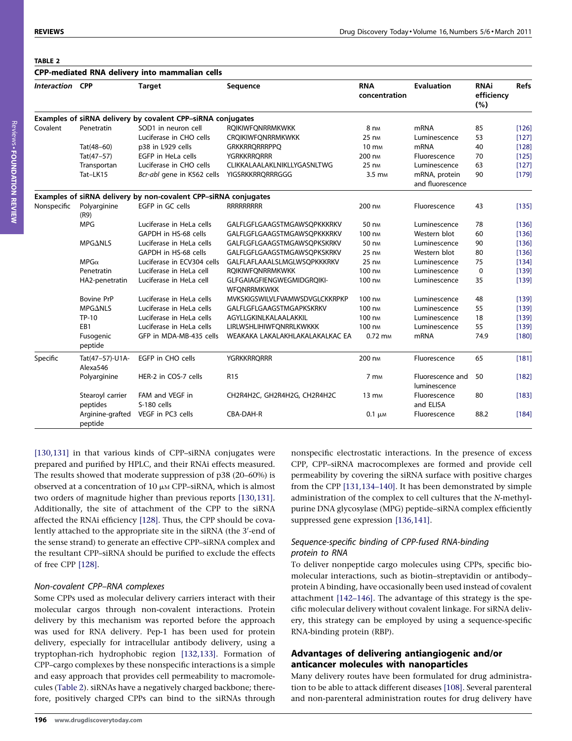<span id="page-8-0"></span>TABLE 2

| CPP-mediated RNA delivery into mammalian cells |                              |                                                                 |                                           |                             |                                  |                                      |         |
|------------------------------------------------|------------------------------|-----------------------------------------------------------------|-------------------------------------------|-----------------------------|----------------------------------|--------------------------------------|---------|
| Interaction CPP                                |                              | <b>Target</b>                                                   | Sequence                                  | <b>RNA</b><br>concentration | <b>Evaluation</b>                | <b>RNAi</b><br>efficiency<br>$(\% )$ | Refs    |
|                                                |                              | Examples of siRNA delivery by covalent CPP-siRNA conjugates     |                                           |                             |                                  |                                      |         |
| Covalent                                       | Penetratin                   | SOD1 in neuron cell                                             | <b>ROIKIWFONRRMKWKK</b>                   | 8 n <sub>M</sub>            | <b>mRNA</b>                      | 85                                   | $[126]$ |
|                                                |                              | Luciferase in CHO cells                                         | <b>CROIKIWFONRRMKWKK</b>                  | 25 n <sub>M</sub>           | Luminescence                     | 53                                   | [127]   |
|                                                | $Tat(48-60)$                 | p38 in L929 cells                                               | <b>GRKKRRQRRRPPQ</b>                      | $10 \text{ mm}$             | <b>mRNA</b>                      | 40                                   | [128]   |
|                                                | Tat(47-57)                   | EGFP in HeLa cells                                              | <b>YGRKKRRQRRR</b>                        | 200 nm                      | Fluorescence                     | 70                                   | $[125]$ |
|                                                | Transportan                  | Luciferase in CHO cells                                         | CLIKKALAALAKLNIKLLYGASNLTWG               | 25 n <sub>M</sub>           | Luminescence                     | 63                                   | [127]   |
|                                                | Tat-LK15                     | Bcr-abl gene in K562 cells                                      | <b>YIGSRKKRRQRRRGGG</b>                   | 3.5 m <sub>M</sub>          | mRNA, protein                    | 90                                   | $[179]$ |
|                                                |                              |                                                                 |                                           |                             | and fluorescence                 |                                      |         |
|                                                |                              | Examples of siRNA delivery by non-covalent CPP-siRNA conjugates |                                           |                             |                                  |                                      |         |
| Nonspecific                                    | Polyarginine<br>(R9)         | EGFP in GC cells                                                | <b>RRRRRRRRR</b>                          | 200 nm                      | Fluorescence                     | 43                                   | [135]   |
|                                                | <b>MPG</b>                   | Luciferase in HeLa cells                                        | GALFLGFLGAAGSTMGAWSQPKKKRKV               | 50 n <sub>M</sub>           | Luminescence                     | 78                                   | $[136]$ |
|                                                |                              | GAPDH in HS-68 cells                                            | GALFLGFLGAAGSTMGAWSOPKKKRKV               | 100 nm                      | Western blot                     | 60                                   | [136]   |
|                                                | <b>MPGANLS</b>               | Luciferase in HeLa cells                                        | GALFLGFLGAAGSTMGAWSQPKSKRKV               | 50 n <sub>M</sub>           | Luminescence                     | 90                                   | $[136]$ |
|                                                |                              | GAPDH in HS-68 cells                                            | GALFLGFLGAAGSTMGAWSOPKSKRKV               | 25 nm                       | Western blot                     | 80                                   | [136]   |
|                                                | $MPG\alpha$                  | Luciferase in ECV304 cells                                      | GALFLAFLAAALSLMGLWSQPKKKRKV               | 25 n <sub>M</sub>           | Luminescence                     | 75                                   | [134]   |
|                                                | Penetratin                   | Luciferase in HeLa cell                                         | <b>ROIKIWFONRRMKWKK</b>                   | 100 nm                      | Luminescence                     | $\mathbf 0$                          | [139]   |
|                                                | HA2-penetratin               | Luciferase in HeLa cell                                         | GLFGAIAGFIENGWEGMIDGRQIKI-<br>WFQNRRMKWKK | 100 nm                      | Luminescence                     | 35                                   | [139]   |
|                                                | <b>Bovine PrP</b>            | Luciferase in HeLa cells                                        | MVKSKIGSWILVLFVAMWSDVGLCKKRPKP            | 100 n <sub>M</sub>          | Luminescence                     | 48                                   | $[139]$ |
|                                                | <b>MPGANLS</b>               | Luciferase in HeLa cells                                        | GALFLGFLGAAGSTMGAPKSKRKV                  | 100 nm                      | Luminescence                     | 55                                   | [139]   |
|                                                | TP-10                        | Luciferase in HeLa cells                                        | AGYLLGKINLKALAALAKKIL                     | 100 nm                      | Luminescence                     | 18                                   | [139]   |
|                                                | EB1                          | Luciferase in HeLa cells                                        | LIRLWSHLIHIWFQNRRLKWKKK                   | 100 nm                      | Luminescence                     | 55                                   | [139]   |
|                                                | Fusogenic<br>peptide         | GFP in MDA-MB-435 cells                                         | WEAKAKA LAKALAKHLAKALAKALKAC EA           | $0.72 \text{ mm}$           | <b>mRNA</b>                      | 74.9                                 | [180]   |
| Specific                                       | Tat(47-57)-U1A-<br>Alexa546  | EGFP in CHO cells                                               | <b>YGRKKRRQRRR</b>                        | 200 nm                      | Fluorescence                     | 65                                   | [181]   |
|                                                | Polyarginine                 | HER-2 in COS-7 cells                                            | <b>R15</b>                                | 7 m <sub>M</sub>            | Fluorescence and<br>luminescence | 50                                   | [182]   |
|                                                | Stearoyl carrier<br>peptides | FAM and VEGF in<br>S-180 cells                                  | CH2R4H2C, GH2R4H2G, CH2R4H2C              | 13 m <sub>M</sub>           | Fluorescence<br>and ELISA        | 80                                   | [183]   |
|                                                | Arginine-grafted<br>peptide  | VEGF in PC3 cells                                               | CBA-DAH-R                                 | $0.1 \mu M$                 | Fluorescence                     | 88.2                                 | $[184]$ |

[\[130,131\]](#page-14-0) in that various kinds of CPP-siRNA conjugates were prepared and purified by HPLC, and their RNAi effects measured. The results showed that moderate suppression of p38 (20–60%) is observed at a concentration of 10  $\mu$ M CPP–siRNA, which is almost two orders of magnitude higher than previous reports [\[130,131\]](#page-14-0). Additionally, the site of attachment of the CPP to the siRNA affected the RNAi efficiency [\[128\]](#page-13-0). Thus, the CPP should be covalently attached to the appropriate site in the siRNA (the 3'-end of the sense strand) to generate an effective CPP–siRNA complex and the resultant CPP–siRNA should be purified to exclude the effects of free CPP [\[128\]](#page-13-0).

#### Non-covalent CPP–RNA complexes

Some CPPs used as molecular delivery carriers interact with their molecular cargos through non-covalent interactions. Protein delivery by this mechanism was reported before the approach was used for RNA delivery. Pep-1 has been used for protein delivery, especially for intracellular antibody delivery, using a tryptophan-rich hydrophobic region [\[132,133\]](#page-14-0). Formation of CPP–cargo complexes by these nonspecific interactions is a simple and easy approach that provides cell permeability to macromolecules (Table 2). siRNAs have a negatively charged backbone; therefore, positively charged CPPs can bind to the siRNAs through

nonspecific electrostatic interactions. In the presence of excess CPP, CPP–siRNA macrocomplexes are formed and provide cell permeability by covering the siRNA surface with positive charges from the CPP [\[131,134–140\]](#page-14-0). It has been demonstrated by simple administration of the complex to cell cultures that the N-methylpurine DNA glycosylase (MPG) peptide–siRNA complex efficiently suppressed gene expression [\[136,141\].](#page-14-0)

## Sequence-specific binding of CPP-fused RNA-binding protein to RNA

To deliver nonpeptide cargo molecules using CPPs, specific biomolecular interactions, such as biotin–streptavidin or antibody– protein A binding, have occasionally been used instead of covalent attachment [\[142–146\].](#page-14-0) The advantage of this strategy is the specific molecular delivery without covalent linkage. For siRNA delivery, this strategy can be employed by using a sequence-specific RNA-binding protein (RBP).

# Advantages of delivering antiangiogenic and/or anticancer molecules with nanoparticles

Many delivery routes have been formulated for drug administration to be able to attack different diseases [\[108\]](#page-13-0). Several parenteral and non-parenteral administration routes for drug delivery have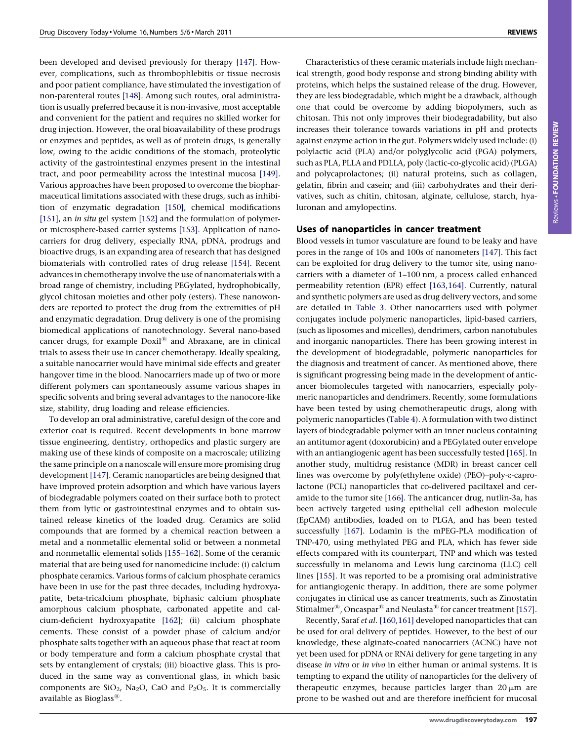been developed and devised previously for therapy [\[147\]](#page-14-0). However, complications, such as thrombophlebitis or tissue necrosis and poor patient compliance, have stimulated the investigation of non-parenteral routes [\[148\]](#page-14-0). Among such routes, oral administration is usually preferred because it is non-invasive, most acceptable and convenient for the patient and requires no skilled worker for drug injection. However, the oral bioavailability of these prodrugs or enzymes and peptides, as well as of protein drugs, is generally low, owing to the acidic conditions of the stomach, proteolytic activity of the gastrointestinal enzymes present in the intestinal tract, and poor permeability across the intestinal mucosa [\[149\].](#page-14-0) Various approaches have been proposed to overcome the biopharmaceutical limitations associated with these drugs, such as inhibition of enzymatic degradation [\[150\],](#page-14-0) chemical modifications [\[151\],](#page-14-0) an *in situ* gel system [\[152\]](#page-14-0) and the formulation of polymeror microsphere-based carrier systems [\[153\].](#page-14-0) Application of nanocarriers for drug delivery, especially RNA, pDNA, prodrugs and bioactive drugs, is an expanding area of research that has designed biomaterials with controlled rates of drug release [\[154\].](#page-14-0) Recent advances in chemotherapy involve the use of nanomaterials with a broad range of chemistry, including PEGylated, hydrophobically, glycol chitosan moieties and other poly (esters). These nanowonders are reported to protect the drug from the extremities of pH and enzymatic degradation. Drug delivery is one of the promising biomedical applications of nanotechnology. Several nano-based cancer drugs, for example  $Doxil^{\circledR}$  and Abraxane, are in clinical trials to assess their use in cancer chemotherapy. Ideally speaking, a suitable nanocarrier would have minimal side effects and greater hangover time in the blood. Nanocarriers made up of two or more different polymers can spontaneously assume various shapes in specific solvents and bring several advantages to the nanocore-like size, stability, drug loading and release efficiencies.

To develop an oral administrative, careful design of the core and exterior coat is required. Recent developments in bone marrow tissue engineering, dentistry, orthopedics and plastic surgery are making use of these kinds of composite on a macroscale; utilizing the same principle on a nanoscale will ensure more promising drug development [\[147\].](#page-14-0) Ceramic nanoparticles are being designed that have improved protein adsorption and which have various layers of biodegradable polymers coated on their surface both to protect them from lytic or gastrointestinal enzymes and to obtain sustained release kinetics of the loaded drug. Ceramics are solid compounds that are formed by a chemical reaction between a metal and a nonmetallic elemental solid or between a nonmetal and nonmetallic elemental solids [\[155–162\]](#page-14-0). Some of the ceramic material that are being used for nanomedicine include: (i) calcium phosphate ceramics. Various forms of calcium phosphate ceramics have been in use for the past three decades, including hydroxyapatite, beta-tricalcium phosphate, biphasic calcium phosphate amorphous calcium phosphate, carbonated appetite and calcium-deficient hydroxyapatite [\[162\];](#page-14-0) (ii) calcium phosphate cements. These consist of a powder phase of calcium and/or phosphate salts together with an aqueous phase that react at room or body temperature and form a calcium phosphate crystal that sets by entanglement of crystals; (iii) bioactive glass. This is produced in the same way as conventional glass, in which basic components are  $SiO_2$ , Na<sub>2</sub>O, CaO and P<sub>2</sub>O<sub>5</sub>. It is commercially available as Bioglass $^{\circledR}$ .

Characteristics of these ceramic materials include high mechanical strength, good body response and strong binding ability with proteins, which helps the sustained release of the drug. However, they are less biodegradable, which might be a drawback, although one that could be overcome by adding biopolymers, such as chitosan. This not only improves their biodegradability, but also increases their tolerance towards variations in pH and protects against enzyme action in the gut. Polymers widely used include: (i) polylactic acid (PLA) and/or polyglycolic acid (PGA) polymers, such as PLA, PLLA and PDLLA, poly (lactic-co-glycolic acid) (PLGA) and polycaprolactones; (ii) natural proteins, such as collagen, gelatin, fibrin and casein; and (iii) carbohydrates and their derivatives, such as chitin, chitosan, alginate, cellulose, starch, hyaluronan and amylopectins.

#### Uses of nanoparticles in cancer treatment

Blood vessels in tumor vasculature are found to be leaky and have pores in the range of 10s and 100s of nanometers [\[147\]](#page-14-0). This fact can be exploited for drug delivery to the tumor site, using nanocarriers with a diameter of 1–100 nm, a process called enhanced permeability retention (EPR) effect [\[163,164\]](#page-14-0). Currently, natural and synthetic polymers are used as drug delivery vectors, and some are detailed in [Table 3](#page-10-0). Other nanocarriers used with polymer conjugates include polymeric nanoparticles, lipid-based carriers, (such as liposomes and micelles), dendrimers, carbon nanotubules and inorganic nanoparticles. There has been growing interest in the development of biodegradable, polymeric nanoparticles for the diagnosis and treatment of cancer. As mentioned above, there is significant progressing being made in the development of anticancer biomolecules targeted with nanocarriers, especially polymeric nanoparticles and dendrimers. Recently, some formulations have been tested by using chemotherapeutic drugs, along with polymeric nanoparticles [\(Table 4\)](#page-10-0). A formulation with two distinct layers of biodegradable polymer with an inner nucleus containing an antitumor agent (doxorubicin) and a PEGylated outer envelope with an antiangiogenic agent has been successfully tested [\[165\].](#page-14-0) In another study, multidrug resistance (MDR) in breast cancer cell lines was overcome by poly(ethylene oxide) (PEO)–poly-e-caprolactone (PCL) nanoparticles that co-delivered paciltaxel and ceramide to the tumor site [\[166\]](#page-14-0). The anticancer drug, nutlin-3a, has been actively targeted using epithelial cell adhesion molecule (EpCAM) antibodies, loaded on to PLGA, and has been tested successfully [\[167\].](#page-14-0) Lodamin is the mPEG-PLA modification of TNP-470, using methylated PEG and PLA, which has fewer side effects compared with its counterpart, TNP and which was tested successfully in melanoma and Lewis lung carcinoma (LLC) cell lines [\[155\]](#page-14-0). It was reported to be a promising oral administrative for antiangiogenic therapy. In addition, there are some polymer conjugates in clinical use as cancer treatments, such as Zinostatin Stimalmer<sup>®</sup>, Oncaspar<sup>®</sup> and Neulasta<sup>®</sup> for cancer treatment [\[157\].](#page-14-0)

Recently, Saraf et al. [\[160,161\]](#page-14-0) developed nanoparticles that can be used for oral delivery of peptides. However, to the best of our knowledge, these alginate-coated nanocarriers (ACNC) have not yet been used for pDNA or RNAi delivery for gene targeting in any disease in vitro or in vivo in either human or animal systems. It is tempting to expand the utility of nanoparticles for the delivery of therapeutic enzymes, because particles larger than  $20 \mu m$  are prone to be washed out and are therefore inefficient for mucosal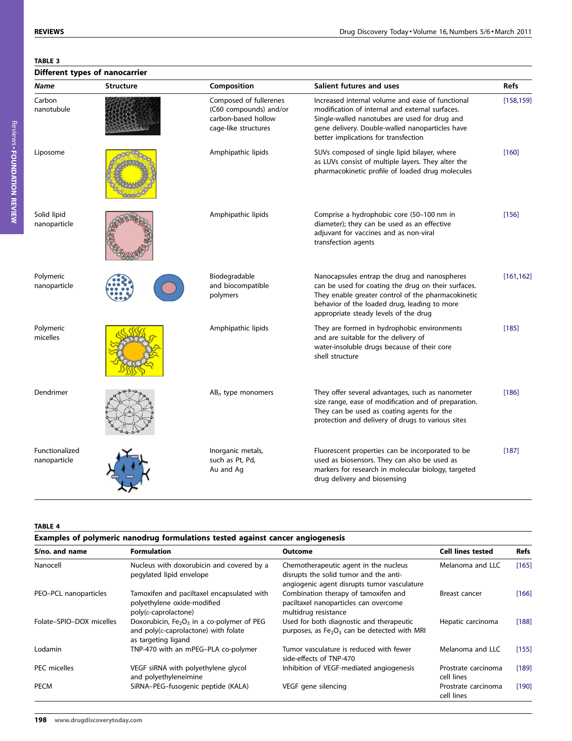# <span id="page-10-0"></span>TABLE 3

Reviews -

**FOUNDATION** 

**REVIEW** 

|                                | Different types of nanocarrier |                                                                                                 |                                                                                                                                                                                                                                                    |             |  |  |  |
|--------------------------------|--------------------------------|-------------------------------------------------------------------------------------------------|----------------------------------------------------------------------------------------------------------------------------------------------------------------------------------------------------------------------------------------------------|-------------|--|--|--|
| <b>Name</b>                    | <b>Structure</b>               | Composition                                                                                     | Salient futures and uses                                                                                                                                                                                                                           | <b>Refs</b> |  |  |  |
| Carbon<br>nanotubule           |                                | Composed of fullerenes<br>(C60 compounds) and/or<br>carbon-based hollow<br>cage-like structures | Increased internal volume and ease of functional<br>modification of internal and external surfaces.<br>Single-walled nanotubes are used for drug and<br>gene delivery. Double-walled nanoparticles have<br>better implications for transfection    | [158, 159]  |  |  |  |
| Liposome                       |                                | Amphipathic lipids                                                                              | SUVs composed of single lipid bilayer, where<br>as LUVs consist of multiple layers. They alter the<br>pharmacokinetic profile of loaded drug molecules                                                                                             | [160]       |  |  |  |
| Solid lipid<br>nanoparticle    |                                | Amphipathic lipids                                                                              | Comprise a hydrophobic core (50-100 nm in<br>diameter); they can be used as an effective<br>adjuvant for vaccines and as non-viral<br>transfection agents                                                                                          | [156]       |  |  |  |
| Polymeric<br>nanoparticle      |                                | Biodegradable<br>and biocompatible<br>polymers                                                  | Nanocapsules entrap the drug and nanospheres<br>can be used for coating the drug on their surfaces.<br>They enable greater control of the pharmacokinetic<br>behavior of the loaded drug, leading to more<br>appropriate steady levels of the drug | [161, 162]  |  |  |  |
| Polymeric<br>micelles          |                                | Amphipathic lipids                                                                              | They are formed in hydrophobic environments<br>and are suitable for the delivery of<br>water-insoluble drugs because of their core<br>shell structure                                                                                              | [185]       |  |  |  |
| Dendrimer                      |                                | $AB_n$ type monomers                                                                            | They offer several advantages, such as nanometer<br>size range, ease of modification and of preparation.<br>They can be used as coating agents for the<br>protection and delivery of drugs to various sites                                        | [186]       |  |  |  |
| Functionalized<br>nanoparticle |                                | Inorganic metals,<br>such as Pt, Pd,<br>Au and Ag                                               | Fluorescent properties can be incorporated to be<br>used as biosensors. They can also be used as<br>markers for research in molecular biology, targeted<br>drug delivery and biosensing                                                            | [187]       |  |  |  |

TABLE 4

| Examples of polymeric nanodrug formulations tested against cancer angiogenesis |                                                                                                                         |                                                                                                                                |                                   |             |  |
|--------------------------------------------------------------------------------|-------------------------------------------------------------------------------------------------------------------------|--------------------------------------------------------------------------------------------------------------------------------|-----------------------------------|-------------|--|
| S/no. and name                                                                 | <b>Formulation</b>                                                                                                      | <b>Outcome</b>                                                                                                                 | <b>Cell lines tested</b>          | <b>Refs</b> |  |
| Nanocell                                                                       | Nucleus with doxorubicin and covered by a<br>pegylated lipid envelope                                                   | Chemotherapeutic agent in the nucleus<br>disrupts the solid tumor and the anti-<br>angiogenic agent disrupts tumor vasculature | Melanoma and LLC                  | [165]       |  |
| PEO-PCL nanoparticles                                                          | Tamoxifen and paciltaxel encapsulated with<br>polyethylene oxide-modified<br>poly( $\varepsilon$ -caprolactone)         | Combination therapy of tamoxifen and<br>paciltaxel nanoparticles can overcome<br>multidrug resistance                          | Breast cancer                     | [166]       |  |
| Folate-SPIO-DOX micelles                                                       | Doxorubicin, $Fe2O3$ in a co-polymer of PEG<br>and $poly(\varepsilon$ -caprolactone) with folate<br>as targeting ligand | Used for both diagnostic and therapeutic<br>purposes, as Fe <sub>2</sub> O <sub>3</sub> can be detected with MRI               | Hepatic carcinoma                 | [188]       |  |
| Lodamin                                                                        | TNP-470 with an mPEG-PLA co-polymer                                                                                     | Tumor vasculature is reduced with fewer<br>side-effects of TNP-470                                                             | Melanoma and LLC                  | [155]       |  |
| PEC micelles                                                                   | VEGF siRNA with polyethylene glycol<br>and polyethyleneimine                                                            | Inhibition of VEGF-mediated angiogenesis                                                                                       | Prostrate carcinoma<br>cell lines | [189]       |  |
| <b>PECM</b>                                                                    | SiRNA-PEG-fusogenic peptide (KALA)                                                                                      | VEGF gene silencing                                                                                                            | Prostrate carcinoma<br>cell lines | $[190]$     |  |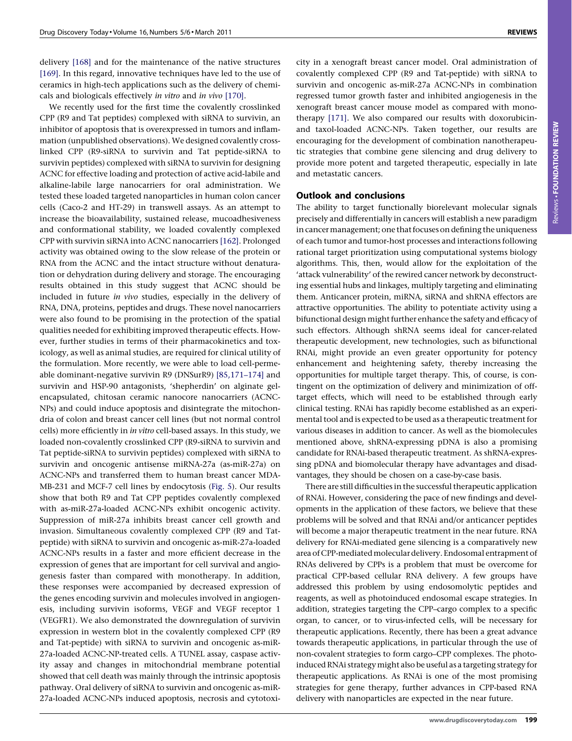delivery [\[168\]](#page-14-0) and for the maintenance of the native structures [\[169\].](#page-14-0) In this regard, innovative techniques have led to the use of ceramics in high-tech applications such as the delivery of chemicals and biologicals effectively in vitro and in vivo [\[170\]](#page-14-0).

We recently used for the first time the covalently crosslinked CPP (R9 and Tat peptides) complexed with siRNA to survivin, an inhibitor of apoptosis that is overexpressed in tumors and inflammation (unpublished observations). We designed covalently crosslinked CPP (R9-siRNA to survivin and Tat peptide-siRNA to survivin peptides) complexed with siRNA to survivin for designing ACNC for effective loading and protection of active acid-labile and alkaline-labile large nanocarriers for oral administration. We tested these loaded targeted nanoparticles in human colon cancer cells (Caco-2 and HT-29) in transwell assays. As an attempt to increase the bioavailability, sustained release, mucoadhesiveness and conformational stability, we loaded covalently complexed CPP with survivin siRNA into ACNC nanocarriers [\[162\].](#page-14-0) Prolonged activity was obtained owing to the slow release of the protein or RNA from the ACNC and the intact structure without denaturation or dehydration during delivery and storage. The encouraging results obtained in this study suggest that ACNC should be included in future in vivo studies, especially in the delivery of RNA, DNA, proteins, peptides and drugs. These novel nanocarriers were also found to be promising in the protection of the spatial qualities needed for exhibiting improved therapeutic effects. However, further studies in terms of their pharmacokinetics and toxicology, as well as animal studies, are required for clinical utility of the formulation. More recently, we were able to load cell-permeable dominant-negative survivin R9 (DNSurR9) [\[85,171–174\]](#page-13-0) and survivin and HSP-90 antagonists, 'shepherdin' on alginate gelencapsulated, chitosan ceramic nanocore nanocarriers (ACNC-NPs) and could induce apoptosis and disintegrate the mitochondria of colon and breast cancer cell lines (but not normal control cells) more efficiently in in vitro cell-based assays. In this study, we loaded non-covalently crosslinked CPP (R9-siRNA to survivin and Tat peptide-siRNA to survivin peptides) complexed with siRNA to survivin and oncogenic antisense miRNA-27a (as-miR-27a) on ACNC-NPs and transferred them to human breast cancer MDA-MB-231 and MCF-7 cell lines by endocytosis [\(Fig. 5](#page-6-0)). Our results show that both R9 and Tat CPP peptides covalently complexed with as-miR-27a-loaded ACNC-NPs exhibit oncogenic activity. Suppression of miR-27a inhibits breast cancer cell growth and invasion. Simultaneous covalently complexed CPP (R9 and Tatpeptide) with siRNA to survivin and oncogenic as-miR-27a-loaded ACNC-NPs results in a faster and more efficient decrease in the expression of genes that are important for cell survival and angiogenesis faster than compared with monotherapy. In addition, these responses were accompanied by decreased expression of the genes encoding survivin and molecules involved in angiogenesis, including survivin isoforms, VEGF and VEGF receptor 1 (VEGFR1). We also demonstrated the downregulation of survivin expression in western blot in the covalently complexed CPP (R9 and Tat-peptide) with siRNA to survivin and oncogenic as-miR-27a-loaded ACNC-NP-treated cells. A TUNEL assay, caspase activity assay and changes in mitochondrial membrane potential showed that cell death was mainly through the intrinsic apoptosis pathway. Oral delivery of siRNA to survivin and oncogenic as-miR-27a-loaded ACNC-NPs induced apoptosis, necrosis and cytotoxicity in a xenograft breast cancer model. Oral administration of covalently complexed CPP (R9 and Tat-peptide) with siRNA to survivin and oncogenic as-miR-27a ACNC-NPs in combination regressed tumor growth faster and inhibited angiogenesis in the xenograft breast cancer mouse model as compared with monotherapy [\[171\].](#page-14-0) We also compared our results with doxorubicinand taxol-loaded ACNC-NPs. Taken together, our results are encouraging for the development of combination nanotherapeutic strategies that combine gene silencing and drug delivery to provide more potent and targeted therapeutic, especially in late and metastatic cancers.

#### Outlook and conclusions

The ability to target functionally biorelevant molecular signals precisely and differentially in cancers will establish a new paradigm in cancer management; one that focuses on defining the uniqueness of each tumor and tumor-host processes and interactions following rational target prioritization using computational systems biology algorithms. This, then, would allow for the exploitation of the 'attack vulnerability' of the rewired cancer network by deconstructing essential hubs and linkages, multiply targeting and eliminating them. Anticancer protein, miRNA, siRNA and shRNA effectors are attractive opportunities. The ability to potentiate activity using a bifunctional design might further enhance the safety and efficacy of such effectors. Although shRNA seems ideal for cancer-related therapeutic development, new technologies, such as bifunctional RNAi, might provide an even greater opportunity for potency enhancement and heightening safety, thereby increasing the opportunities for multiple target therapy. This, of course, is contingent on the optimization of delivery and minimization of offtarget effects, which will need to be established through early clinical testing. RNAi has rapidly become established as an experimental tool and is expected to be used as a therapeutic treatment for various diseases in addition to cancer. As well as the biomolecules mentioned above, shRNA-expressing pDNA is also a promising candidate for RNAi-based therapeutic treatment. As shRNA-expressing pDNA and biomolecular therapy have advantages and disadvantages, they should be chosen on a case-by-case basis.

There are still difficulties in the successful therapeutic application of RNAi. However, considering the pace of new findings and developments in the application of these factors, we believe that these problems will be solved and that RNAi and/or anticancer peptides will become a major therapeutic treatment in the near future. RNA delivery for RNAi-mediated gene silencing is a comparatively new area of CPP-mediated molecular delivery. Endosomal entrapment of RNAs delivered by CPPs is a problem that must be overcome for practical CPP-based cellular RNA delivery. A few groups have addressed this problem by using endosomolytic peptides and reagents, as well as photoinduced endosomal escape strategies. In addition, strategies targeting the CPP–cargo complex to a specific organ, to cancer, or to virus-infected cells, will be necessary for therapeutic applications. Recently, there has been a great advance towards therapeutic applications, in particular through the use of non-covalent strategies to form cargo–CPP complexes. The photoinduced RNAi strategy might also be useful as a targeting strategy for therapeutic applications. As RNAi is one of the most promising strategies for gene therapy, further advances in CPP-based RNA delivery with nanoparticles are expected in the near future.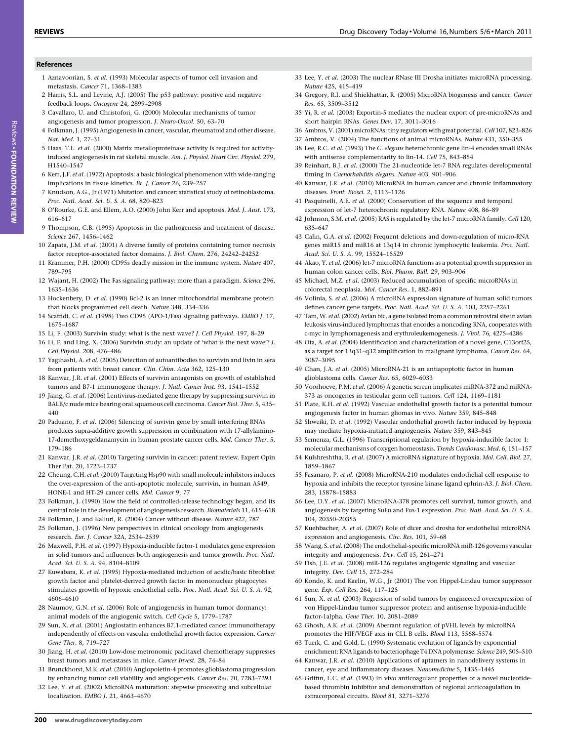#### <span id="page-12-0"></span>References

- 1 Aznavoorian, S. et al. (1993) Molecular aspects of tumor cell invasion and metastasis. Cancer 71, 1368–1383
- 2 Harris, S.L. and Levine, A.J. (2005) The p53 pathway: positive and negative feedback loops. Oncogene 24, 2899–2908
- 3 Cavallaro, U. and Christofori, G. (2000) Molecular mechanisms of tumor angiogenesis and tumor progression. J. Neuro-Oncol. 50, 63–70
- 4 Folkman, J. (1995) Angiogenesis in cancer, vascular, rheumatoid and other disease. Nat. Med. 1, 27–31
- 5 Haas, T.L. et al. (2000) Matrix metalloproteinase activity is required for activityinduced angiogenesis in rat skeletal muscle. Am. J. Physiol. Heart Circ. Physiol. 279, H1540–1547
- 6 Kerr, J.F. et al. (1972) Apoptosis: a basic biological phenomenon with wide-ranging implications in tissue kinetics. Br. J. Cancer 26, 239–257
- 7 Knudson, A.G., Jr (1971) Mutation and cancer: statistical study of retinoblastoma. Proc. Natl. Acad. Sci. U. S. A. 68, 820–823
- 8 O'Rourke, G.E. and Ellem, A.O. (2000) John Kerr and apoptosis. Med. J. Aust. 173, 616–617
- 9 Thompson, C.B. (1995) Apoptosis in the pathogenesis and treatment of disease. Science 267, 1456–1462
- 10 Zapata, J.M. et al. (2001) A diverse family of proteins containing tumor necrosis factor receptor-associated factor domains. J. Biol. Chem. 276, 24242–24252
- 11 Krammer, P.H. (2000) CD95s deadly mission in the immune system. Nature 407, 789–795
- 12 Wajant, H. (2002) The Fas signaling pathway: more than a paradigm. Science 296, 1635–1636
- 13 Hockenbery, D. et al. (1990) Bcl-2 is an inner mitochondrial membrane protein that blocks programmed cell death. Nature 348, 334–336
- 14 Scaffidi, C. et al. (1998) Two CD95 (APO-1/Fas) signaling pathways. EMBO J. 17, 1675–1687
- 15 Li, F. (2003) Survivin study: what is the next wave? J. Cell Physiol. 197, 8–29
- 16 Li, F. and Ling, X. (2006) Survivin study: an update of 'what is the next wave'? J. Cell Physiol. 208, 476–486
- 17 Yagihashi, A. et al. (2005) Detection of autoantibodies to survivin and livin in sera from patients with breast cancer. Clin. Chim. Acta 362, 125–130
- 18 Kanwar, J.R. et al. (2001) Effects of survivin antagonists on growth of established tumors and B7-1 immunogene therapy. J. Natl. Cancer Inst. 93, 1541–1552
- 19 Jiang, G. et al. (2006) Lentivirus-mediated gene therapy by suppressing survivin in BALB/c nude mice bearing oral squamous cell carcinoma. Cancer Biol. Ther. 5, 435– 440
- 20 Paduano, F. et al. (2006) Silencing of suvivin gene by small interfering RNAs produces supra-additive growth suppression in combination with 17-allylamino-17-demethoxygeldanamycin in human prostate cancer cells. Mol. Cancer Ther. 5, 179–186
- 21 Kanwar, J.R. et al. (2010) Targeting survivin in cancer: patent review. Expert Opin Ther Pat. 20, 1723–1737
- 22 Cheung, C.H. et al. (2010) Targeting Hsp90 with small molecule inhibitors induces the over-expression of the anti-apoptotic molecule, survivin, in human A549, HONE-1 and HT-29 cancer cells. Mol. Cancer 9, 77
- 23 Folkman, J. (1990) How the field of controlled-release technology began, and its central role in the development of angiogenesis research. Biomaterials 11, 615–618
- 24 Folkman, J. and Kalluri, R. (2004) Cancer without disease. Nature 427, 787
- 25 Folkman, J. (1996) New perspectives in clinical oncology from angiogenesis research. Eur. J. Cancer 32A, 2534–2539
- 26 Maxwell, P.H. et al. (1997) Hypoxia-inducible factor-1 modulates gene expression in solid tumors and influences both angiogenesis and tumor growth. Proc. Natl. Acad. Sci. U. S. A. 94, 8104–8109
- 27 Kuwabara, K. et al. (1995) Hypoxia-mediated induction of acidic/basic fibroblast growth factor and platelet-derived growth factor in mononuclear phagocytes stimulates growth of hypoxic endothelial cells. Proc. Natl. Acad. Sci. U. S. A. 92, 4606–4610
- 28 Naumov, G.N. et al. (2006) Role of angiogenesis in human tumor dormancy: animal models of the angiogenic switch. Cell Cycle 5, 1779–1787
- 29 Sun, X. et al. (2001) Angiostatin enhances B7.1-mediated cancer immunotherapy independently of effects on vascular endothelial growth factor expression. Cancer Gene Ther. 8, 719–727
- 30 Jiang, H. et al. (2010) Low-dose metronomic paclitaxel chemotherapy suppresses breast tumors and metastases in mice. Cancer Invest. 28, 74–84
- 31 Brunckhorst, M.K. et al. (2010) Angiopoietin-4 promotes glioblastoma progression by enhancing tumor cell viability and angiogenesis. Cancer Res. 70, 7283–7293
- 32 Lee, Y. et al. (2002) MicroRNA maturation: stepwise processing and subcellular localization. EMBO J. 21, 4663–4670
- 33 Lee, Y. et al. (2003) The nuclear RNase III Drosha initiates microRNA processing. Nature 425, 415–419
- 34 Gregory, R.I. and Shiekhattar, R. (2005) MicroRNA biogenesis and cancer. Cancer Res. 65, 3509–3512
- 35 Yi, R. et al. (2003) Exportin-5 mediates the nuclear export of pre-microRNAs and short hairpin RNAs. Genes Dev. 17, 3011–3016
- 36 Ambros, V. (2001) microRNAs: tiny regulators with great potential. Cell 107, 823–826
- 37 Ambros, V. (2004) The functions of animal microRNAs. Nature 431, 350–355
- 38 Lee, R.C. et al. (1993) The C. elegans heterochronic gene lin-4 encodes small RNAs with antisense complementarity to lin-14. Cell 75, 843–854
- 39 Reinhart, B.J. et al. (2000) The 21-nucleotide let-7 RNA regulates developmental timing in Caenorhabditis elegans. Nature 403, 901–906
- 40 Kanwar, J.R. et al. (2010) MicroRNA in human cancer and chronic inflammatory diseases. Front. Biosci. 2, 1113–1126
- 41 Pasquinelli, A.E. et al. (2000) Conservation of the sequence and temporal expression of let-7 heterochronic regulatory RNA. Nature 408, 86–89
- 42 Johnson, S.M. et al. (2005) RAS is regulated by the let-7 microRNA family. Cell 120, 635–647
- 43 Calin, G.A. et al. (2002) Frequent deletions and down-regulation of micro-RNA genes miR15 and miR16 at 13q14 in chronic lymphocytic leukemia. Proc. Natl. Acad. Sci. U. S. A. 99, 15524–15529
- 44 Akao, Y. et al. (2006) let-7 microRNA functions as a potential growth suppressor in human colon cancer cells. Biol. Pharm. Bull. 29, 903–906
- 45 Michael, M.Z. et al. (2003) Reduced accumulation of specific microRNAs in colorectal neoplasia. Mol. Cancer Res. 1, 882–891
- 46 Volinia, S. et al. (2006) A microRNA expression signature of human solid tumors defines cancer gene targets. Proc. Natl. Acad. Sci. U. S. A. 103, 2257–2261
- 47 Tam, W. et al.(2002) Avian bic, a gene isolated from a common retroviral site in avian leukosis virus-induced lymphomas that encodes a noncoding RNA, cooperates with c-myc in lymphomagenesis and erythroleukemogenesis. J. Virol. 76, 4275–4286
- 48 Ota, A. et al. (2004) Identification and characterization of a novel gene, C13orf25, as a target for 13q31–q32 amplification in malignant lymphoma. Cancer Res. 64, 3087–3095
- 49 Chan, J.A. et al. (2005) MicroRNA-21 is an antiapoptotic factor in human glioblastoma cells. Cancer Res. 65, 6029–6033
- 50 Voorhoeve, P.M. et al. (2006) A genetic screen implicates miRNA-372 and miRNA-373 as oncogenes in testicular germ cell tumors. Cell 124, 1169–1181
- 51 Plate, K.H. et al. (1992) Vascular endothelial growth factor is a potential tumour angiogenesis factor in human gliomas in vivo. Nature 359, 845–848
- 52 Shweiki, D. et al. (1992) Vascular endothelial growth factor induced by hypoxia may mediate hypoxia-initiated angiogenesis. Nature 359, 843–845
- 53 Semenza, G.L. (1996) Transcriptional regulation by hypoxia-inducible factor 1: molecular mechanisms of oxygen homeostasis. Trends Cardiovasc. Med. 6, 151–157
- 54 Kulshreshtha, R. et al. (2007) A microRNA signature of hypoxia. Mol. Cell. Biol. 27, 1859–1867
- 55 Fasanaro, P. et al. (2008) MicroRNA-210 modulates endothelial cell response to hypoxia and inhibits the receptor tyrosine kinase ligand ephrin-A3. J. Biol. Chem. 283, 15878–15883
- 56 Lee, D.Y. et al. (2007) MicroRNA-378 promotes cell survival, tumor growth, and angiogenesis by targeting SuFu and Fus-1 expression. Proc. Natl. Acad. Sci. U. S. A. 104, 20350–20355
- 57 Kuehbacher, A. et al. (2007) Role of dicer and drosha for endothelial microRNA expression and angiogenesis. Circ. Res. 101, 59–68
- 58 Wang, S. et al. (2008) The endothelial-specific microRNA miR-126 governs vascular integrity and angiogenesis. Dev. Cell 15, 261–271
- 59 Fish, J.E. et al. (2008) miR-126 regulates angiogenic signaling and vascular integrity. Dev. Cell 15, 272–284
- 60 Kondo, K. and Kaelin, W.G., Jr (2001) The von Hippel-Lindau tumor suppressor gene. Exp. Cell Res. 264, 117–125
- 61 Sun, X. et al. (2003) Regression of solid tumors by engineered overexpression of von Hippel-Lindau tumor suppressor protein and antisense hypoxia-inducible factor-1alpha. Gene Ther. 10, 2081–2089
- 62 Ghosh, A.K. et al. (2009) Aberrant regulation of pVHL levels by microRNA promotes the HIF/VEGF axis in CLL B cells. Blood 113, 5568–5574
- 63 Tuerk, C. and Gold, L. (1990) Systematic evolution of ligands by exponential enrichment: RNA ligands to bacteriophage T4 DNA polymerase. Science 249, 505–510
- 64 Kanwar, J.R. et al. (2010) Applications of aptamers in nanodelivery systems in cancer, eye and inflammatory diseases. Nanomedicine 5, 1435–1445
- 65 Griffin, L.C. et al. (1993) In vivo anticoagulant properties of a novel nucleotidebased thrombin inhibitor and demonstration of regional anticoagulation in extracorporeal circuits. Blood 81, 3271–3276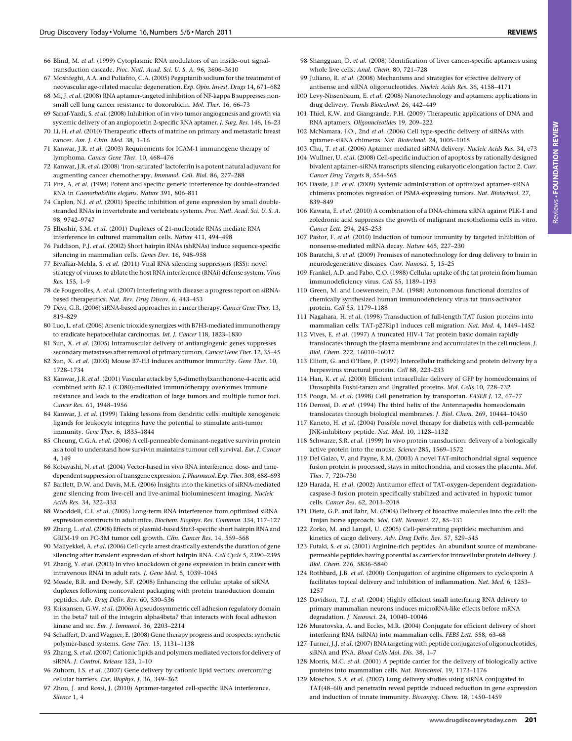Reviews -

 FOUNDATION REVIEWReviews . FOUNDATION REVIEW

- <span id="page-13-0"></span>66 Blind, M. et al. (1999) Cytoplasmic RNA modulators of an inside–out signaltransduction cascade. Proc. Natl. Acad. Sci. U. S. A. 96, 3606–3610
- 67 Moshfeghi, A.A. and Puliafito, C.A. (2005) Pegaptanib sodium for the treatment of neovascular age-related macular degeneration. Exp. Opin. Invest. Drugs 14, 671–682
- 68 Mi, J. et al. (2008) RNA aptamer-targeted inhibition of NF-kappa B suppresses nonsmall cell lung cancer resistance to doxorubicin. Mol. Ther. 16, 66–73
- 69 Sarraf-Yazdi, S. et al. (2008) Inhibition of in vivo tumor angiogenesis and growth via systemic delivery of an angiopoietin 2-specific RNA aptamer. J. Surg. Res. 146, 16–23
- 70 Li, H. et al. (2010) Therapeutic effects of matrine on primary and metastatic breast cancer. Am. J. Chin. Med. 38, 1–16
- 71 Kanwar, J.R. et al. (2003) Requirements for ICAM-1 immunogene therapy of lymphoma. Cancer Gene Ther. 10, 468–476
- 72 Kanwar, J.R. et al. (2008) 'Iron-saturated' lactoferrin is a potent natural adjuvant for augmenting cancer chemotherapy. Immunol. Cell. Biol. 86, 277–288
- 73 Fire, A. et al. (1998) Potent and specific genetic interference by double-stranded RNA in Caenorhabditis elegans. Nature 391, 806–811
- 74 Caplen, N.J. et al. (2001) Specific inhibition of gene expression by small doublestranded RNAs in invertebrate and vertebrate systems. Proc. Natl. Acad. Sci. U. S. A. 98, 9742–9747
- 75 Elbashir, S.M. et al. (2001) Duplexes of 21-nucleotide RNAs mediate RNA interference in cultured mammalian cells. Nature 411, 494–498
- 76 Paddison, P.J. et al. (2002) Short hairpin RNAs (shRNAs) induce sequence-specific silencing in mammalian cells. Genes Dev. 16, 948–958
- 77 Bivalkar-Mehla, S. et al. (2011) Viral RNA silencing suppressors (RSS): novel strategy of viruses to ablate the host RNA interference (RNAi) defense system. Virus Res. 155, 1–9
- 78 de Fougerolles, A. et al. (2007) Interfering with disease: a progress report on siRNAbased therapeutics. Nat. Rev. Drug Discov. 6, 443–453
- 79 Devi, G.R. (2006) siRNA-based approaches in cancer therapy. Cancer Gene Ther. 13, 819–829
- 80 Luo, L. et al. (2006) Arsenic trioxide synergizes with B7H3-mediated immunotherapy to eradicate hepatocellular carcinomas. Int. J. Cancer 118, 1823–1830
- 81 Sun, X. et al. (2005) Intramuscular delivery of antiangiogenic genes suppresses secondary metastases after removal of primary tumors. Cancer Gene Ther. 12, 35–45
- 82 Sun, X. et al. (2003) Mouse B7-H3 induces antitumor immunity. Gene Ther. 10, 1728–1734
- 83 Kanwar, J.R. et al. (2001) Vascular attack by 5,6-dimethylxanthenone-4-acetic acid combined with B7.1 (CD80)-mediated immunotherapy overcomes immune resistance and leads to the eradication of large tumors and multiple tumor foci. Cancer Res. 61, 1948–1956
- 84 Kanwar, J. et al. (1999) Taking lessons from dendritic cells: multiple xenogeneic ligands for leukocyte integrins have the potential to stimulate anti-tumor immunity. Gene Ther. 6, 1835–1844
- 85 Cheung, C.G.A. et al. (2006) A cell-permeable dominant-negative survivin protein as a tool to understand how survivin maintains tumour cell survival. Eur. J. Cancer 4, 149
- 86 Kobayashi, N. et al. (2004) Vector-based in vivo RNA interference: dose- and timedependent suppression of transgene expression. J. Pharmacol. Exp. Ther. 308, 688–693
- 87 Bartlett, D.W. and Davis, M.E. (2006) Insights into the kinetics of siRNA-mediated gene silencing from live-cell and live-animal bioluminescent imaging. Nucleic Acids Res. 34, 322–333
- 88 Wooddell, C.I. et al. (2005) Long-term RNA interference from optimized siRNA expression constructs in adult mice. Biochem. Biophys. Res. Commun. 334, 117–127
- 89 Zhang, L. et al. (2008) Effects of plasmid-based Stat3-specific short hairpin RNA and GRIM-19 on PC-3M tumor cell growth. Clin. Cancer Res. 14, 559–568
- 90 Maliyekkel, A. et al. (2006) Cell cycle arrest drastically extends the duration of gene silencing after transient expression of short hairpin RNA. Cell Cycle 5, 2390–2395
- 91 Zhang, Y. et al. (2003) In vivo knockdown of gene expression in brain cancer with intravenous RNAi in adult rats. J. Gene Med. 5, 1039–1045
- 92 Meade, B.R. and Dowdy, S.F. (2008) Enhancing the cellular uptake of siRNA duplexes following noncovalent packaging with protein transduction domain peptides. Adv. Drug Deliv. Rev. 60, 530–536
- 93 Krissansen, G.W. et al. (2006) A pseudosymmetric cell adhesion regulatory domain in the beta7 tail of the integrin alpha4beta7 that interacts with focal adhesion kinase and src. Eur. J. Immunol. 36, 2203–2214
- 94 Schaffert, D. and Wagner, E. (2008) Gene therapy progress and prospects: synthetic polymer-based systems. Gene Ther. 15, 1131–1138
- 95 Zhang, S. et al. (2007) Cationic lipids and polymers mediated vectors for delivery of siRNA. J. Control. Release 123, 1–10
- 96 Zuhorn, I.S. et al. (2007) Gene delivery by cationic lipid vectors: overcoming cellular barriers. Eur. Biophys. J. 36, 349–362
- 97 Zhou, J. and Rossi, J. (2010) Aptamer-targeted cell-specific RNA interference. Silence 1, 4
- 98 Shangguan, D. et al. (2008) Identification of liver cancer-specific aptamers using whole live cells. Anal. Chem. 80, 721–728
- 99 Juliano, R. et al. (2008) Mechanisms and strategies for effective delivery of antisense and siRNA oligonucleotides. Nucleic Acids Res. 36, 4158–4171
- 100 Levy-Nissenbaum, E. et al. (2008) Nanotechnology and aptamers: applications in drug delivery. Trends Biotechnol. 26, 442–449
- 101 Thiel, K.W. and Giangrande, P.H. (2009) Therapeutic applications of DNA and RNA aptamers. Oligonucleotides 19, 209–222
- 102 McNamara, J.O., 2nd et al. (2006) Cell type-specific delivery of siRNAs with aptamer–siRNA chimeras. Nat. Biotechnol. 24, 1005–1015
- 103 Chu, T. et al. (2006) Aptamer mediated siRNA delivery. Nucleic Acids Res. 34, e73
- 104 Wullner, U. et al. (2008) Cell-specific induction of apoptosis by rationally designed bivalent aptamer–siRNA transcripts silencing eukaryotic elongation factor 2. Curr. Cancer Drug Targets 8, 554–565
- 105 Dassie, J.P. et al. (2009) Systemic administration of optimized aptamer–siRNA chimeras promotes regression of PSMA-expressing tumors. Nat. Biotechnol. 27, 839–849
- 106 Kawata, E. et al. (2010) A combination of a DNA-chimera siRNA against PLK-1 and zoledronic acid suppresses the growth of malignant mesothelioma cells in vitro. Cancer Lett. 294, 245–253
- 107 Pastor, F. et al. (2010) Induction of tumour immunity by targeted inhibition of nonsense-mediated mRNA decay. Nature 465, 227–230
- 108 Baratchi, S. et al. (2009) Promises of nanotechnology for drug delivery to brain in neurodegenerative diseases. Curr. Nanosci. 5, 15–25
- 109 Frankel, A.D. and Pabo, C.O. (1988) Cellular uptake of the tat protein from human immunodeficiency virus. Cell 55, 1189–1193
- 110 Green, M. and Loewenstein, P.M. (1988) Autonomous functional domains of chemically synthesized human immunodeficiency virus tat trans-activator protein. Cell 55, 1179–1188
- 111 Nagahara, H. et al. (1998) Transduction of full-length TAT fusion proteins into mammalian cells: TAT-p27Kip1 induces cell migration. Nat. Med. 4, 1449–1452
- 112 Vives, E. et al. (1997) A truncated HIV-1 Tat protein basic domain rapidly translocates through the plasma membrane and accumulates in the cell nucleus. J. Biol. Chem. 272, 16010–16017
- 113 Elliott, G. and O'Hare, P. (1997) Intercellular trafficking and protein delivery by a herpesvirus structural protein. Cell 88, 223–233
- 114 Han, K. et al. (2000) Efficient intracellular delivery of GFP by homeodomains of Drosophila Fushi-tarazu and Engrailed proteins. Mol. Cells 10, 728–732
- 115 Pooga, M. et al. (1998) Cell penetration by transportan. FASEB J. 12, 67-77
- 116 Derossi, D. et al. (1994) The third helix of the Antennapedia homeodomain translocates through biological membranes. J. Biol. Chem. 269, 10444–10450
- 117 Kaneto, H. et al. (2004) Possible novel therapy for diabetes with cell-permeable JNK-inhibitory peptide. Nat. Med. 10, 1128–1132
- 118 Schwarze, S.R. et al. (1999) In vivo protein transduction: delivery of a biologically active protein into the mouse. Science 285, 1569–1572
- 119 Del Gaizo, V. and Payne, R.M. (2003) A novel TAT-mitochondrial signal sequence fusion protein is processed, stays in mitochondria, and crosses the placenta. Mol. Ther. 7, 720–730
- 120 Harada, H. et al. (2002) Antitumor effect of TAT-oxygen-dependent degradationcaspase-3 fusion protein specifically stabilized and activated in hypoxic tumor cells. Cancer Res. 62, 2013–2018
- 121 Dietz, G.P. and Bahr, M. (2004) Delivery of bioactive molecules into the cell: the Trojan horse approach. Mol. Cell. Neurosci. 27, 85–131
- 122 Zorko, M. and Langel, U. (2005) Cell-penetrating peptides: mechanism and kinetics of cargo delivery. Adv. Drug Deliv. Rev. 57, 529–545
- 123 Futaki, S. et al. (2001) Arginine-rich peptides. An abundant source of membranepermeable peptides having potential as carriers for intracellular protein delivery. J. Biol. Chem. 276, 5836–5840
- 124 Rothbard, J.B. et al. (2000) Conjugation of arginine oligomers to cyclosporin A facilitates topical delivery and inhibition of inflammation. Nat. Med. 6, 1253– 1257
- 125 Davidson, T.J. et al. (2004) Highly efficient small interfering RNA delivery to primary mammalian neurons induces microRNA-like effects before mRNA degradation. J. Neurosci. 24, 10040–10046
- 126 Muratovska, A. and Eccles, M.R. (2004) Conjugate for efficient delivery of short interfering RNA (siRNA) into mammalian cells. FEBS Lett. 558, 63–68
- 127 Turner, J.J. et al. (2007) RNA targeting with peptide conjugates of oligonucleotides, siRNA and PNA. Blood Cells Mol. Dis. 38, 1–7
- 128 Morris, M.C. et al. (2001) A peptide carrier for the delivery of biologically active proteins into mammalian cells. Nat. Biotechnol. 19, 1173–1176
- 129 Moschos, S.A. et al. (2007) Lung delivery studies using siRNA conjugated to TAT(48–60) and penetratin reveal peptide induced reduction in gene expression and induction of innate immunity. Bioconjug. Chem. 18, 1450–1459